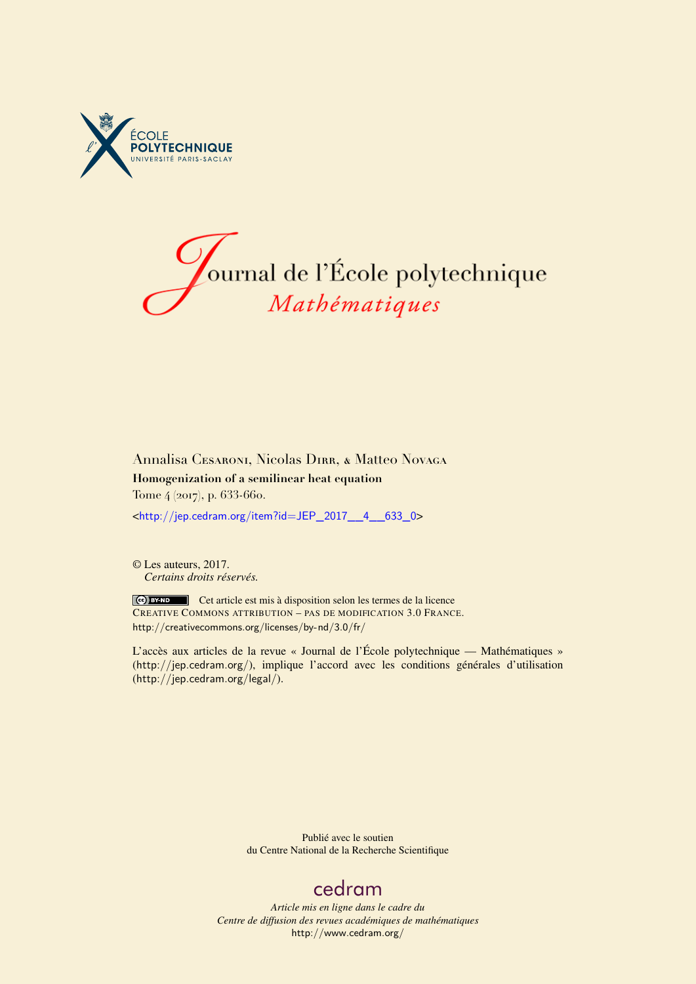



### Annalisa Cesaroni, Nicolas Dirr, & Matteo Novaga **Homogenization of a semilinear heat equation** Tome 4 (2017), p. 633-660.

<[http://jep.cedram.org/item?id=JEP\\_2017\\_\\_4\\_\\_633\\_0](http://jep.cedram.org/item?id=JEP_2017__4__633_0)>

© Les auteurs, 2017. *Certains droits réservés.*

Cet article est mis à disposition selon les termes de la licence CREATIVE COMMONS ATTRIBUTION – PAS DE MODIFICATION 3.0 FRANCE. <http://creativecommons.org/licenses/by-nd/3.0/fr/>

L'accès aux articles de la revue « Journal de l'École polytechnique — Mathématiques » (<http://jep.cedram.org/>), implique l'accord avec les conditions générales d'utilisation (<http://jep.cedram.org/legal/>).

> Publié avec le soutien du Centre National de la Recherche Scientifique

# [cedram](http://www.cedram.org/)

*Article mis en ligne dans le cadre du Centre de diffusion des revues académiques de mathématiques* <http://www.cedram.org/>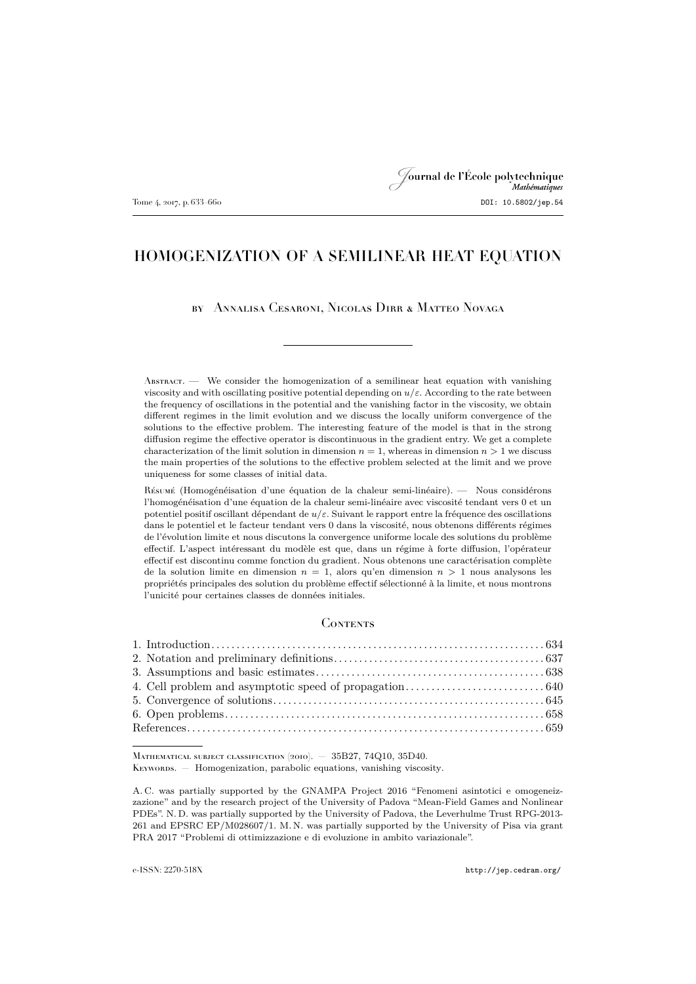## Journal de l'École polytechnique Tome 4, 2017, p. 633–660 **DOI: 10.5802/jep.54**

### HOMOGENIZATION OF A SEMILINEAR HEAT EQUATION

#### by Annalisa Cesaroni, Nicolas Dirr & Matteo Novaga

 $\Lambda_{\text{BSTRACT}}$ . We consider the homogenization of a semilinear heat equation with vanishing viscosity and with oscillating positive potential depending on  $u/\varepsilon$ . According to the rate between the frequency of oscillations in the potential and the vanishing factor in the viscosity, we obtain different regimes in the limit evolution and we discuss the locally uniform convergence of the solutions to the effective problem. The interesting feature of the model is that in the strong diffusion regime the effective operator is discontinuous in the gradient entry. We get a complete characterization of the limit solution in dimension  $n = 1$ , whereas in dimension  $n > 1$  we discuss the main properties of the solutions to the effective problem selected at the limit and we prove uniqueness for some classes of initial data.

Résumé (Homogénéisation d'une équation de la chaleur semi-linéaire). — Nous considérons l'homogénéisation d'une équation de la chaleur semi-linéaire avec viscosité tendant vers 0 et un potentiel positif oscillant dépendant de  $u/\varepsilon$ . Suivant le rapport entre la fréquence des oscillations dans le potentiel et le facteur tendant vers 0 dans la viscosité, nous obtenons différents régimes de l'évolution limite et nous discutons la convergence uniforme locale des solutions du problème effectif. L'aspect intéressant du modèle est que, dans un régime à forte diffusion, l'opérateur effectif est discontinu comme fonction du gradient. Nous obtenons une caractérisation complète de la solution limite en dimension  $n = 1$ , alors qu'en dimension  $n > 1$  nous analysons les propriétés principales des solution du problème effectif sélectionné à la limite, et nous montrons l'unicité pour certaines classes de données initiales.

#### **CONTENTS**

MATHEMATICAL SUBJECT CLASSIFICATION (2010). - 35B27, 74Q10, 35D40.

KEYWORDS. — Homogenization, parabolic equations, vanishing viscosity.

A. C. was partially supported by the GNAMPA Project 2016 "Fenomeni asintotici e omogeneizzazione" and by the research project of the University of Padova "Mean-Field Games and Nonlinear PDEs". N. D. was partially supported by the University of Padova, the Leverhulme Trust RPG-2013- 261 and EPSRC EP/M028607/1. M. N. was partially supported by the University of Pisa via grant PRA 2017 "Problemi di ottimizzazione e di evoluzione in ambito variazionale".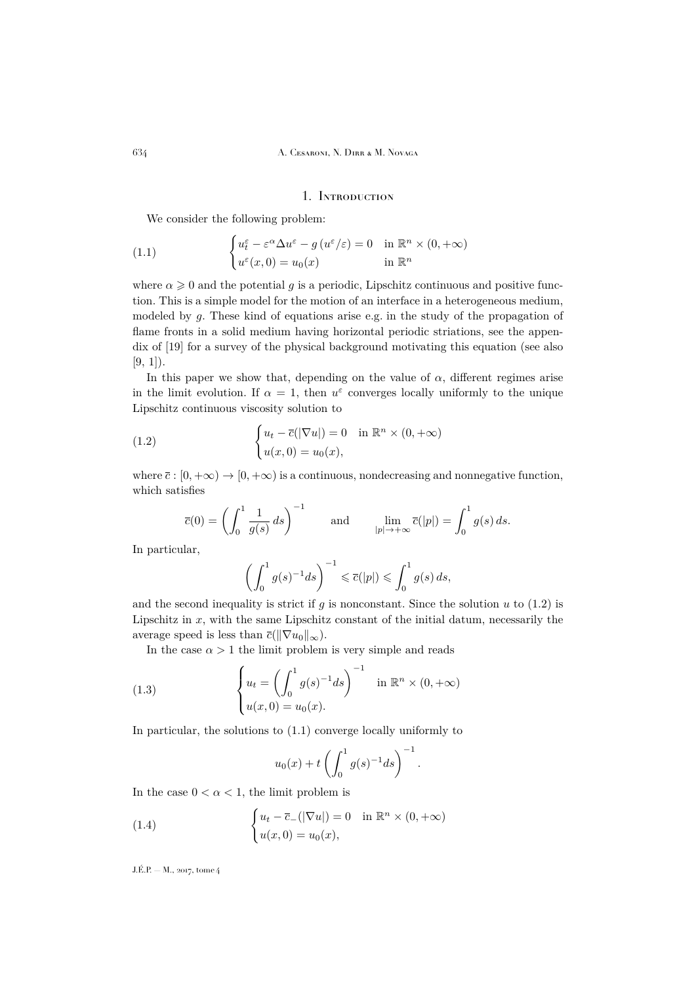#### 1. Introduction

<span id="page-2-2"></span><span id="page-2-0"></span>We consider the following problem:

(1.1) 
$$
\begin{cases} u_t^{\varepsilon} - \varepsilon^{\alpha} \Delta u^{\varepsilon} - g (u^{\varepsilon}/\varepsilon) = 0 & \text{in } \mathbb{R}^n \times (0, +\infty) \\ u^{\varepsilon}(x, 0) = u_0(x) & \text{in } \mathbb{R}^n \end{cases}
$$

where  $\alpha \geq 0$  and the potential g is a periodic, Lipschitz continuous and positive function. This is a simple model for the motion of an interface in a heterogeneous medium, modeled by g. These kind of equations arise e.g. in the study of the propagation of flame fronts in a solid medium having horizontal periodic striations, see the appendix of [\[19\]](#page-28-0) for a survey of the physical background motivating this equation (see also  $[9, 1]$  $[9, 1]$  $[9, 1]$ .

In this paper we show that, depending on the value of  $\alpha$ , different regimes arise in the limit evolution. If  $\alpha = 1$ , then  $u^{\varepsilon}$  converges locally uniformly to the unique Lipschitz continuous viscosity solution to

(1.2) 
$$
\begin{cases} u_t - \overline{c}(|\nabla u|) = 0 & \text{in } \mathbb{R}^n \times (0, +\infty) \\ u(x, 0) = u_0(x), \end{cases}
$$

where  $\bar{c}$  :  $[0, +\infty) \to [0, +\infty)$  is a continuous, nondecreasing and nonnegative function, which satisfies

<span id="page-2-1"></span>
$$
\overline{c}(0) = \left(\int_0^1 \frac{1}{g(s)} ds\right)^{-1} \quad \text{and} \quad \lim_{|p| \to +\infty} \overline{c}(|p|) = \int_0^1 g(s) ds.
$$

In particular,

$$
\left(\int_0^1 g(s)^{-1}ds\right)^{-1} \leqslant \overline{c}(|p|) \leqslant \int_0^1 g(s)\,ds,
$$

and the second inequality is strict if g is nonconstant. Since the solution  $u$  to  $(1.2)$  is Lipschitz in  $x$ , with the same Lipschitz constant of the initial datum, necessarily the average speed is less than  $\overline{c}(\|\nabla u_0\|_{\infty})$ .

In the case  $\alpha > 1$  the limit problem is very simple and reads

(1.3) 
$$
\begin{cases} u_t = \left(\int_0^1 g(s)^{-1} ds\right)^{-1} & \text{in } \mathbb{R}^n \times (0, +\infty) \\ u(x, 0) = u_0(x). \end{cases}
$$

In particular, the solutions to [\(1.1\)](#page-2-2) converge locally uniformly to

<span id="page-2-3"></span>
$$
u_0(x) + t \left( \int_0^1 g(s)^{-1} ds \right)^{-1}.
$$

In the case  $0 < \alpha < 1$ , the limit problem is

(1.4) 
$$
\begin{cases} u_t - \overline{c}_-(|\nabla u|) = 0 & \text{in } \mathbb{R}^n \times (0, +\infty) \\ u(x, 0) = u_0(x), \end{cases}
$$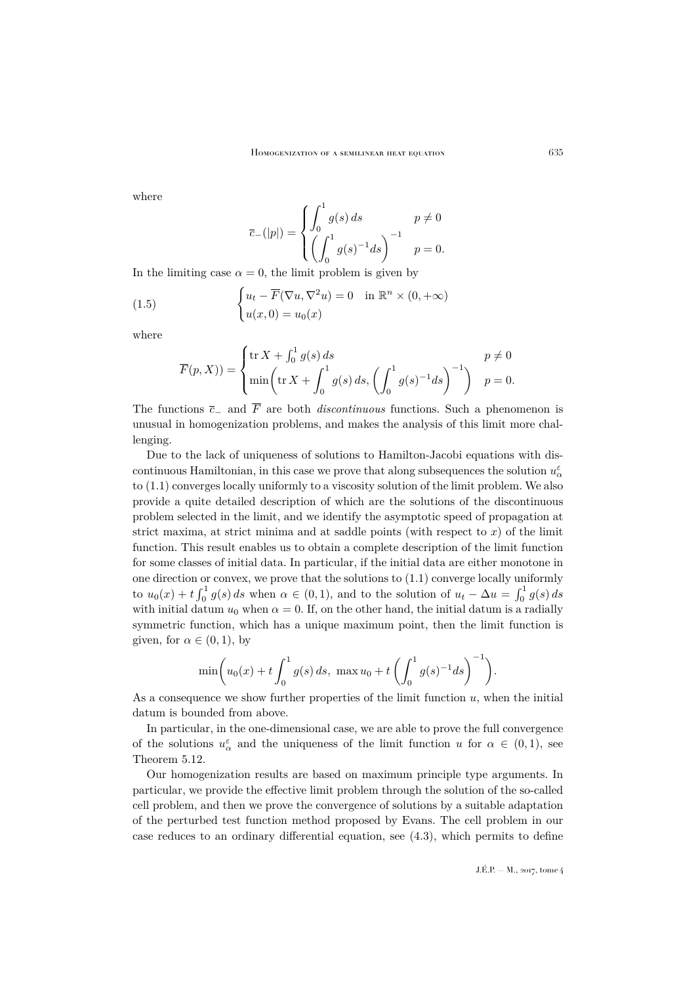where

$$
\overline{c}_{-}(|p|) = \begin{cases} \int_0^1 g(s) \, ds & p \neq 0 \\ \left( \int_0^1 g(s)^{-1} ds \right)^{-1} & p = 0. \end{cases}
$$

In the limiting case  $\alpha = 0$ , the limit problem is given by

(1.5) 
$$
\begin{cases} u_t - \overline{F}(\nabla u, \nabla^2 u) = 0 & \text{in } \mathbb{R}^n \times (0, +\infty) \\ u(x, 0) = u_0(x) \end{cases}
$$

where

<span id="page-3-0"></span>
$$
\overline{F}(p, X) = \begin{cases} \operatorname{tr} X + \int_0^1 g(s) ds & p \neq 0 \\ \min \left( \operatorname{tr} X + \int_0^1 g(s) ds, \left( \int_0^1 g(s)^{-1} ds \right)^{-1} \right) & p = 0. \end{cases}
$$

The functions  $\overline{c}_-$  and  $\overline{F}$  are both *discontinuous* functions. Such a phenomenon is unusual in homogenization problems, and makes the analysis of this limit more challenging.

Due to the lack of uniqueness of solutions to Hamilton-Jacobi equations with discontinuous Hamiltonian, in this case we prove that along subsequences the solution  $u^{\varepsilon}_{\alpha}$ to [\(1.1\)](#page-2-2) converges locally uniformly to a viscosity solution of the limit problem. We also provide a quite detailed description of which are the solutions of the discontinuous problem selected in the limit, and we identify the asymptotic speed of propagation at strict maxima, at strict minima and at saddle points (with respect to  $x$ ) of the limit function. This result enables us to obtain a complete description of the limit function for some classes of initial data. In particular, if the initial data are either monotone in one direction or convex, we prove that the solutions to [\(1.1\)](#page-2-2) converge locally uniformly to  $u_0(x) + t \int_0^1 g(s) ds$  when  $\alpha \in (0, 1)$ , and to the solution of  $u_t - \Delta u = \int_0^1 g(s) ds$ with initial datum  $u_0$  when  $\alpha = 0$ . If, on the other hand, the initial datum is a radially symmetric function, which has a unique maximum point, then the limit function is given, for  $\alpha \in (0,1)$ , by

$$
\min\left(u_0(x) + t\int_0^1 g(s) \, ds, \, \max u_0 + t\left(\int_0^1 g(s)^{-1} ds\right)^{-1}\right).
$$

As a consequence we show further properties of the limit function  $u$ , when the initial datum is bounded from above.

In particular, in the one-dimensional case, we are able to prove the full convergence of the solutions  $u^{\varepsilon}_{\alpha}$  and the uniqueness of the limit function u for  $\alpha \in (0,1)$ , see Theorem [5.12.](#page-24-0)

Our homogenization results are based on maximum principle type arguments. In particular, we provide the effective limit problem through the solution of the so-called cell problem, and then we prove the convergence of solutions by a suitable adaptation of the perturbed test function method proposed by Evans. The cell problem in our case reduces to an ordinary differential equation, see [\(4.3\)](#page-8-1), which permits to define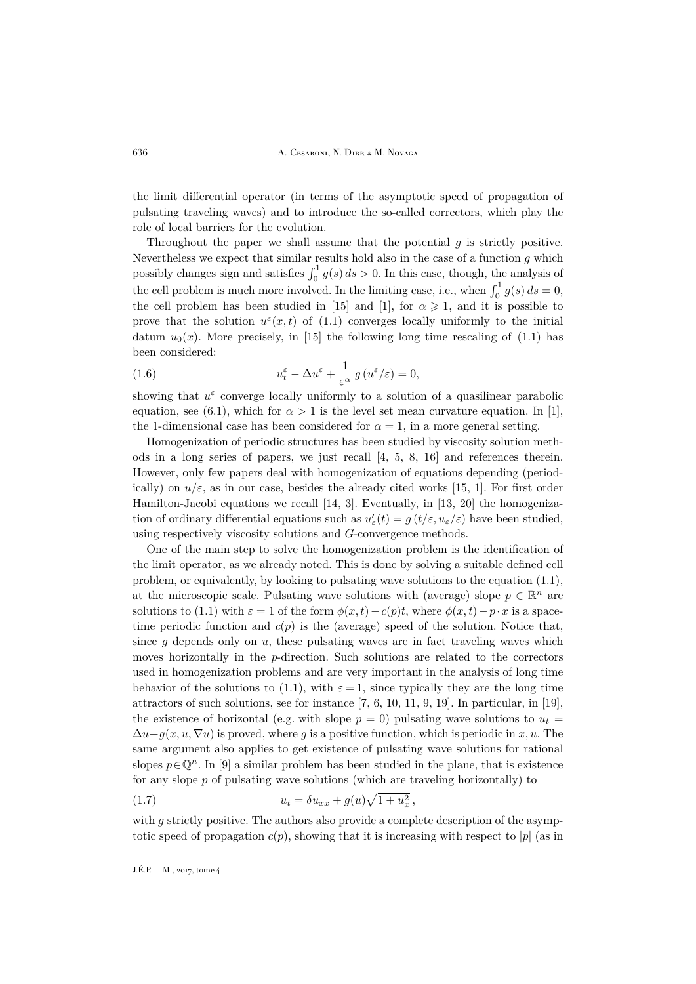the limit differential operator (in terms of the asymptotic speed of propagation of pulsating traveling waves) and to introduce the so-called correctors, which play the role of local barriers for the evolution.

Throughout the paper we shall assume that the potential  $q$  is strictly positive. Nevertheless we expect that similar results hold also in the case of a function  $g$  which possibly changes sign and satisfies  $\int_0^1 g(s) ds > 0$ . In this case, though, the analysis of the cell problem is much more involved. In the limiting case, i.e., when  $\int_0^1 g(s) ds = 0$ , the cell problem has been studied in [\[15\]](#page-28-2) and [\[1\]](#page-27-1), for  $\alpha \geq 1$ , and it is possible to prove that the solution  $u^{\varepsilon}(x,t)$  of [\(1.1\)](#page-2-2) converges locally uniformly to the initial datum  $u_0(x)$ . More precisely, in [\[15\]](#page-28-2) the following long time rescaling of [\(1.1\)](#page-2-2) has been considered:

<span id="page-4-1"></span>(1.6) 
$$
u_t^{\varepsilon} - \Delta u^{\varepsilon} + \frac{1}{\varepsilon^{\alpha}} g(u^{\varepsilon}/\varepsilon) = 0,
$$

showing that  $u^{\varepsilon}$  converge locally uniformly to a solution of a quasilinear parabolic equation, see [\(6.1\)](#page-27-2), which for  $\alpha > 1$  is the level set mean curvature equation. In [\[1\]](#page-27-1), the 1-dimensional case has been considered for  $\alpha = 1$ , in a more general setting.

Homogenization of periodic structures has been studied by viscosity solution methods in a long series of papers, we just recall [\[4,](#page-27-3) [5,](#page-28-3) [8,](#page-28-4) [16\]](#page-28-5) and references therein. However, only few papers deal with homogenization of equations depending (periodically) on  $u/\varepsilon$ , as in our case, besides the already cited works [\[15,](#page-28-2) [1\]](#page-27-1). For first order Hamilton-Jacobi equations we recall [\[14,](#page-28-6) [3\]](#page-27-4). Eventually, in [\[13,](#page-28-7) [20\]](#page-28-8) the homogenization of ordinary differential equations such as  $u'_{\varepsilon}(t) = g(t/\varepsilon, u_{\varepsilon}/\varepsilon)$  have been studied, using respectively viscosity solutions and G-convergence methods.

One of the main step to solve the homogenization problem is the identification of the limit operator, as we already noted. This is done by solving a suitable defined cell problem, or equivalently, by looking to pulsating wave solutions to the equation [\(1.1\)](#page-2-2), at the microscopic scale. Pulsating wave solutions with (average) slope  $p \in \mathbb{R}^n$  are solutions to [\(1.1\)](#page-2-2) with  $\varepsilon = 1$  of the form  $\phi(x, t) - c(p)t$ , where  $\phi(x, t) - p \cdot x$  is a spacetime periodic function and  $c(p)$  is the (average) speed of the solution. Notice that, since  $g$  depends only on  $u$ , these pulsating waves are in fact traveling waves which moves horizontally in the p-direction. Such solutions are related to the correctors used in homogenization problems and are very important in the analysis of long time behavior of the solutions to [\(1.1\)](#page-2-2), with  $\varepsilon = 1$ , since typically they are the long time attractors of such solutions, see for instance  $[7, 6, 10, 11, 9, 19]$  $[7, 6, 10, 11, 9, 19]$  $[7, 6, 10, 11, 9, 19]$  $[7, 6, 10, 11, 9, 19]$  $[7, 6, 10, 11, 9, 19]$  $[7, 6, 10, 11, 9, 19]$  $[7, 6, 10, 11, 9, 19]$  $[7, 6, 10, 11, 9, 19]$  $[7, 6, 10, 11, 9, 19]$  $[7, 6, 10, 11, 9, 19]$  $[7, 6, 10, 11, 9, 19]$ . In particular, in [\[19\]](#page-28-0), the existence of horizontal (e.g. with slope  $p = 0$ ) pulsating wave solutions to  $u_t =$  $\Delta u+g(x, u, \nabla u)$  is proved, where g is a positive function, which is periodic in x, u. The same argument also applies to get existence of pulsating wave solutions for rational slopes  $p \in \mathbb{Q}^n$ . In [\[9\]](#page-28-1) a similar problem has been studied in the plane, that is existence for any slope  $p$  of pulsating wave solutions (which are traveling horizontally) to

<span id="page-4-0"></span>(1.7) 
$$
u_t = \delta u_{xx} + g(u)\sqrt{1 + u_x^2},
$$

with g strictly positive. The authors also provide a complete description of the asymptotic speed of propagation  $c(p)$ , showing that it is increasing with respect to |p| (as in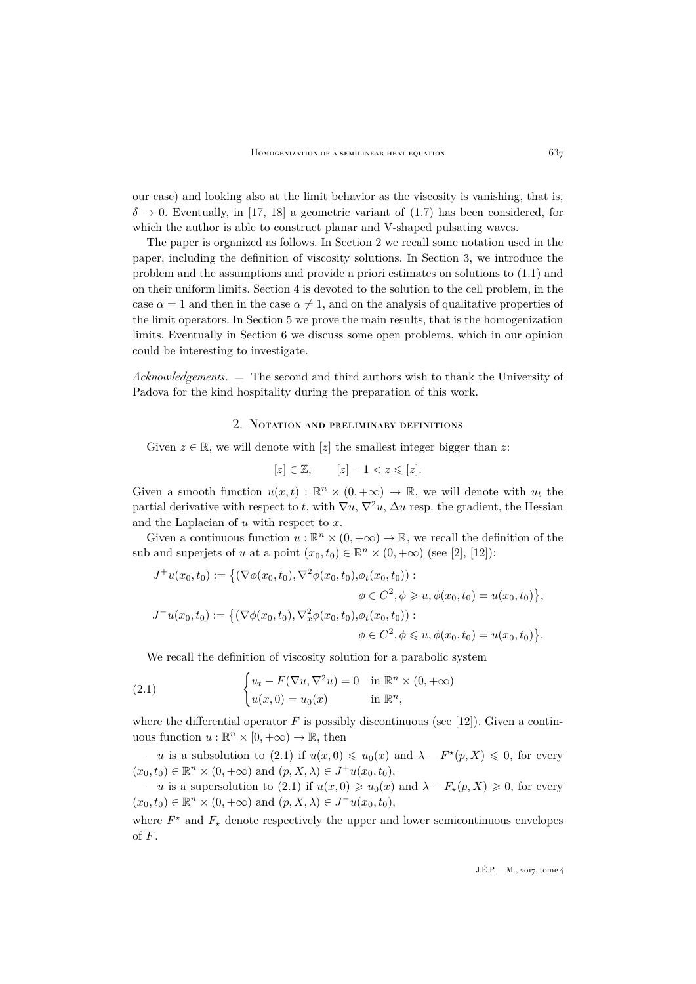our case) and looking also at the limit behavior as the viscosity is vanishing, that is,  $\delta \rightarrow 0$ . Eventually, in [\[17,](#page-28-13) [18\]](#page-28-14) a geometric variant of [\(1.7\)](#page-4-0) has been considered, for which the author is able to construct planar and V-shaped pulsating waves.

The paper is organized as follows. In Section [2](#page-5-0) we recall some notation used in the paper, including the definition of viscosity solutions. In Section [3,](#page-6-0) we introduce the problem and the assumptions and provide a priori estimates on solutions to [\(1.1\)](#page-2-2) and on their uniform limits. Section [4](#page-8-0) is devoted to the solution to the cell problem, in the case  $\alpha = 1$  and then in the case  $\alpha \neq 1$ , and on the analysis of qualitative properties of the limit operators. In Section [5](#page-13-0) we prove the main results, that is the homogenization limits. Eventually in Section [6](#page-26-0) we discuss some open problems, which in our opinion could be interesting to investigate.

*Acknowledgements*. — The second and third authors wish to thank the University of Padova for the kind hospitality during the preparation of this work.

#### 2. Notation and preliminary definitions

<span id="page-5-0"></span>Given  $z \in \mathbb{R}$ , we will denote with [z] the smallest integer bigger than z:

$$
[z]\in\mathbb{Z},\qquad [z]-1
$$

Given a smooth function  $u(x,t) : \mathbb{R}^n \times (0,+\infty) \to \mathbb{R}$ , we will denote with  $u_t$  the partial derivative with respect to t, with  $\nabla u$ ,  $\nabla^2 u$ ,  $\Delta u$  resp. the gradient, the Hessian and the Laplacian of  $u$  with respect to  $x$ .

Given a continuous function  $u:\mathbb{R}^n\times(0,+\infty)\to\mathbb{R},$  we recall the definition of the sub and superjets of u at a point  $(x_0, t_0) \in \mathbb{R}^n \times (0, +\infty)$  (see [\[2\]](#page-27-5), [\[12\]](#page-28-15)):

$$
J^+u(x_0, t_0) := \{ (\nabla \phi(x_0, t_0), \nabla^2 \phi(x_0, t_0), \phi_t(x_0, t_0)) : \n\phi \in C^2, \phi \geq u, \phi(x_0, t_0) = u(x_0, t_0) \},
$$
  
\n
$$
J^-u(x_0, t_0) := \{ (\nabla \phi(x_0, t_0), \nabla_x^2 \phi(x_0, t_0), \phi_t(x_0, t_0)) : \n\phi \in C^2, \phi \leq u, \phi(x_0, t_0) = u(x_0, t_0) \}.
$$

<span id="page-5-1"></span>We recall the definition of viscosity solution for a parabolic system

(2.1) 
$$
\begin{cases} u_t - F(\nabla u, \nabla^2 u) = 0 & \text{in } \mathbb{R}^n \times (0, +\infty) \\ u(x, 0) = u_0(x) & \text{in } \mathbb{R}^n, \end{cases}
$$

where the differential operator  $F$  is possibly discontinuous (see [\[12\]](#page-28-15)). Given a continuous function  $u : \mathbb{R}^n \times [0, +\infty) \to \mathbb{R}$ , then

 $- u$  is a subsolution to [\(2.1\)](#page-5-1) if  $u(x, 0)$  ≤  $u_0(x)$  and  $λ - F<sup>*</sup>(p, X)$  ≤ 0, for every  $(x_0, t_0) \in \mathbb{R}^n \times (0, +\infty)$  and  $(p, X, \lambda) \in J^+u(x_0, t_0)$ ,

 $- u$  is a supersolution to [\(2.1\)](#page-5-1) if  $u(x, 0) \geq u_0(x)$  and  $\lambda - F_*(p, X) \geq 0$ , for every  $(x_0, t_0) \in \mathbb{R}^n \times (0, +\infty)$  and  $(p, X, \lambda) \in J^{-}u(x_0, t_0)$ ,

where  $F^*$  and  $F_*$  denote respectively the upper and lower semicontinuous envelopes of F.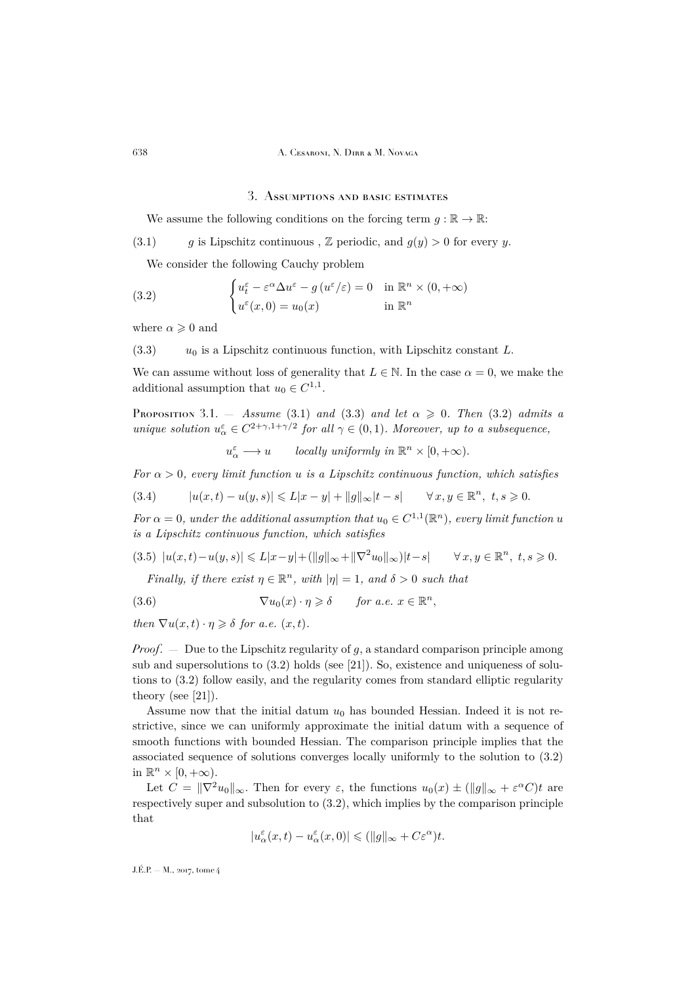#### 3. Assumptions and basic estimates

<span id="page-6-1"></span><span id="page-6-0"></span>We assume the following conditions on the forcing term  $q : \mathbb{R} \to \mathbb{R}$ :

(3.1) g is Lipschitz continuous,  $\mathbb Z$  periodic, and  $g(y) > 0$  for every y.

<span id="page-6-3"></span>We consider the following Cauchy problem

(3.2) 
$$
\begin{cases} u_t^{\varepsilon} - \varepsilon^{\alpha} \Delta u^{\varepsilon} - g (u^{\varepsilon}/\varepsilon) = 0 & \text{in } \mathbb{R}^n \times (0, +\infty) \\ u^{\varepsilon}(x, 0) = u_0(x) & \text{in } \mathbb{R}^n \end{cases}
$$

where  $\alpha \geq 0$  and

<span id="page-6-2"></span> $(3.3)$   $u_0$  is a Lipschitz continuous function, with Lipschitz constant L.

We can assume without loss of generality that  $L \in \mathbb{N}$ . In the case  $\alpha = 0$ , we make the additional assumption that  $u_0 \in C^{1,1}$ .

<span id="page-6-7"></span>PROPOSITION 3.1. - *Assume* [\(3.1\)](#page-6-1) *and* [\(3.3\)](#page-6-2) *and let*  $\alpha \geq 0$ *. Then* [\(3.2\)](#page-6-3) *admits a unique solution*  $u^{\varepsilon}_{\alpha} \in C^{2+\gamma, 1+\gamma/2}$  *for all*  $\gamma \in (0, 1)$ *. Moreover, up to a subsequence,* 

<span id="page-6-4"></span> $u^{\varepsilon}_{\alpha} \longrightarrow u$  *locally uniformly in*  $\mathbb{R}^{n} \times [0, +\infty)$ .

*For*  $\alpha > 0$ *, every limit function u is a Lipschitz continuous function, which satisfies* 

 $(3.4)$   $|u(x,t) - u(y,s)| \le L|x - y| + ||g||_{\infty} |t - s|$   $\forall x, y \in \mathbb{R}^n, t, s \ge 0.$ 

*For*  $\alpha = 0$ *, under the additional assumption that*  $u_0 \in C^{1,1}(\mathbb{R}^n)$ *, every limit function u is a Lipschitz continuous function, which satisfies*

<span id="page-6-5"></span>
$$
(3.5) |u(x,t) - u(y,s)| \le L|x-y| + (||g||_{\infty} + ||\nabla^2 u_0||_{\infty})|t-s| \qquad \forall x, y \in \mathbb{R}^n, t, s \ge 0.
$$

<span id="page-6-6"></span>*Finally, if there exist*  $\eta \in \mathbb{R}^n$ *, with*  $|\eta| = 1$ *, and*  $\delta > 0$  *such that* 

(3.6) 
$$
\nabla u_0(x) \cdot \eta \geq \delta \quad \text{for a.e. } x \in \mathbb{R}^n,
$$

*then*  $\nabla u(x,t) \cdot \eta \geq \delta$  *for a.e.*  $(x,t)$ *.* 

*Proof.* — Due to the Lipschitz regularity of g, a standard comparison principle among sub and supersolutions to  $(3.2)$  holds (see [\[21\]](#page-28-16)). So, existence and uniqueness of solutions to [\(3.2\)](#page-6-3) follow easily, and the regularity comes from standard elliptic regularity theory (see [\[21\]](#page-28-16)).

Assume now that the initial datum  $u_0$  has bounded Hessian. Indeed it is not restrictive, since we can uniformly approximate the initial datum with a sequence of smooth functions with bounded Hessian. The comparison principle implies that the associated sequence of solutions converges locally uniformly to the solution to [\(3.2\)](#page-6-3) in  $\mathbb{R}^n \times [0, +\infty)$ .

Let  $C = ||\nabla^2 u_0||_{\infty}$ . Then for every  $\varepsilon$ , the functions  $u_0(x) \pm (||g||_{\infty} + \varepsilon^{\alpha} C)t$  are respectively super and subsolution to [\(3.2\)](#page-6-3), which implies by the comparison principle that

$$
|u_\alpha^\varepsilon(x,t)-u_\alpha^\varepsilon(x,0)|\leqslant (\|g\|_\infty+C\varepsilon^\alpha)t.
$$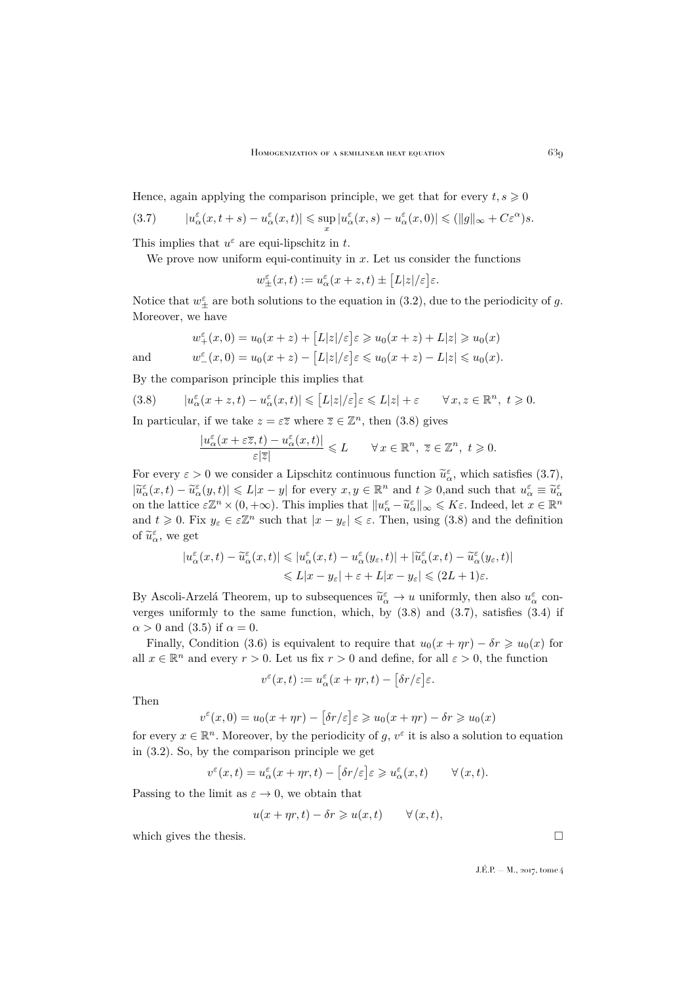Hence, again applying the comparison principle, we get that for every  $t, s \geq 0$ 

<span id="page-7-1"></span>
$$
(3.7) \qquad |u_{\alpha}^{\varepsilon}(x,t+s)-u_{\alpha}^{\varepsilon}(x,t)| \leq \sup_{x}|u_{\alpha}^{\varepsilon}(x,s)-u_{\alpha}^{\varepsilon}(x,0)| \leq (||g||_{\infty}+C\varepsilon^{\alpha})s.
$$

This implies that  $u^{\varepsilon}$  are equi-lipschitz in t.

We prove now uniform equi-continuity in  $x$ . Let us consider the functions

$$
w^\varepsilon_\pm(x,t):=u^\varepsilon_\alpha(x+z,t)\pm\big[L|z|/\varepsilon\big]\varepsilon.
$$

Notice that  $w_{\pm}^{\varepsilon}$  are both solutions to the equation in [\(3.2\)](#page-6-3), due to the periodicity of g. Moreover, we have

$$
w_{+}^{\varepsilon}(x,0) = u_{0}(x+z) + \left[L|z|/\varepsilon\right]\varepsilon \geq u_{0}(x+z) + L|z| \geq u_{0}(x)
$$
  
and  

$$
w_{-}^{\varepsilon}(x,0) = u_{0}(x+z) - \left[L|z|/\varepsilon\right]\varepsilon \leq u_{0}(x+z) - L|z| \leq u_{0}(x).
$$

By the comparison principle this implies that

(3.8) 
$$
|u_{\alpha}^{\varepsilon}(x+z,t)-u_{\alpha}^{\varepsilon}(x,t)| \leq |L|z|/\varepsilon \leq L|z| + \varepsilon \quad \forall x, z \in \mathbb{R}^{n}, t \geq 0.
$$

In particular, if we take  $z = \varepsilon \overline{z}$  where  $\overline{z} \in \mathbb{Z}^n$ , then  $(3.8)$  gives

<span id="page-7-0"></span>
$$
\frac{|u_\alpha^\varepsilon(x+\varepsilon\overline{z},t)-u_\alpha^\varepsilon(x,t)|}{\varepsilon|\overline{z}|}\leqslant L\qquad\forall\,x\in\mathbb{R}^n,\,\,\overline{z}\in\mathbb{Z}^n,\,\,t\geqslant 0.
$$

For every  $\varepsilon > 0$  we consider a Lipschitz continuous function  $\tilde{u}_{\varepsilon}^{\varepsilon}$ , which satisfies [\(3.7\)](#page-7-1),  $|\widetilde{u}_{\alpha}^{\varepsilon}(x,t) - \widetilde{u}_{\alpha}^{\varepsilon}(y,t)| \le L|x-y|$  for every  $x, y \in \mathbb{R}^{n}$  and  $t \ge 0$ , and such that  $u_{\alpha}^{\varepsilon} \equiv \widetilde{u}_{\alpha}^{\varepsilon}$ on the lattice  $\epsilon \mathbb{Z}^n \times (0, +\infty)$ . This implies that  $||u_{\epsilon}^{\epsilon} - \tilde{u}_{\epsilon}^{\epsilon}||_{\infty} \leq K\epsilon$ . Indeed, let  $x \in \mathbb{R}^n$ and  $t \geq 0$ . Fix  $y_{\varepsilon} \in \varepsilon \mathbb{Z}^n$  such that  $|x - y_{\varepsilon}| \leq \varepsilon$ . Then, using [\(3.8\)](#page-7-0) and the definition of  $\widetilde{u}_{\alpha}^{\varepsilon}$ , we get

$$
\begin{aligned} |u_\alpha^\varepsilon(x,t)-\widetilde u_\alpha^\varepsilon(x,t)|&\leqslant |u_\alpha^\varepsilon(x,t)-u_\alpha^\varepsilon(y_\varepsilon,t)|+|\widetilde u_\alpha^\varepsilon(x,t)-\widetilde u_\alpha^\varepsilon(y_\varepsilon,t)|\\ &\leqslant L|x-y_\varepsilon|+\varepsilon+L|x-y_\varepsilon|\leqslant (2L+1)\varepsilon.\end{aligned}
$$

By Ascoli-Arzelá Theorem, up to subsequences  $\widetilde{u}_{\alpha}^{\varepsilon} \to u$  uniformly, then also  $u_{\alpha}^{\varepsilon}$  con-<br>regress uniformly to the same function, which hy (2.8) and (2.7) satisfies (2.4) if verges uniformly to the same function, which, by  $(3.8)$  and  $(3.7)$ , satisfies  $(3.4)$  if  $\alpha > 0$  and [\(3.5\)](#page-6-5) if  $\alpha = 0$ .

Finally, Condition [\(3.6\)](#page-6-6) is equivalent to require that  $u_0(x + \eta r) - \delta r \geq u_0(x)$  for all  $x \in \mathbb{R}^n$  and every  $r > 0$ . Let us fix  $r > 0$  and define, for all  $\varepsilon > 0$ , the function

$$
v^{\varepsilon}(x,t):=u^{\varepsilon}_{\alpha}(x+\eta r,t)-\big[\delta r/\varepsilon\big]\varepsilon.
$$

Then

$$
v^\varepsilon(x,0)=u_0(x+\eta r)-\big[\delta r/\varepsilon\big]\varepsilon\geqslant u_0(x+\eta r)-\delta r\geqslant u_0(x)
$$

for every  $x \in \mathbb{R}^n$ . Moreover, by the periodicity of  $g, v^{\varepsilon}$  it is also a solution to equation in [\(3.2\)](#page-6-3). So, by the comparison principle we get

$$
v^\varepsilon(x,t)=u^\varepsilon_\alpha(x+\eta r,t)-\big[\delta r/\varepsilon\big]\varepsilon\geqslant u^\varepsilon_\alpha(x,t)\qquad\forall\,(x,t).
$$

Passing to the limit as  $\varepsilon \to 0$ , we obtain that

$$
u(x + \eta r, t) - \delta r \geqslant u(x, t) \qquad \forall (x, t),
$$

which gives the thesis.  $\Box$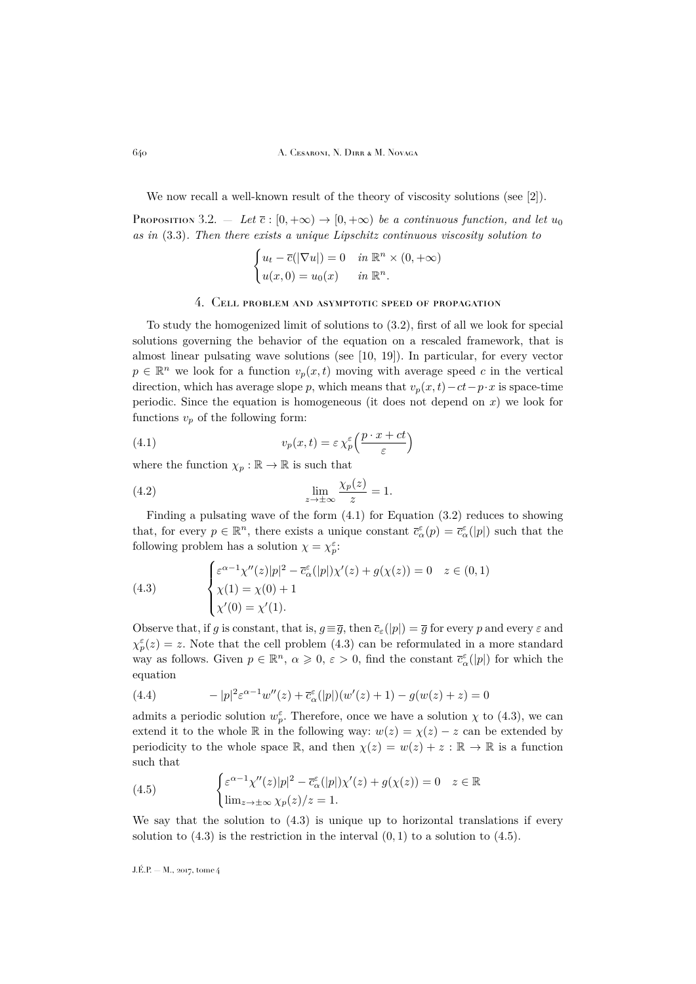We now recall a well-known result of the theory of viscosity solutions (see [\[2\]](#page-27-5)).

<span id="page-8-4"></span>**Proposition** 3.2. — Let  $\bar{c}$  :  $[0, +\infty) \rightarrow [0, +\infty)$  be a continuous function, and let  $u_0$ *as in* [\(3.3\)](#page-6-2)*. Then there exists a unique Lipschitz continuous viscosity solution to*

$$
\begin{cases} u_t - \overline{c}(|\nabla u|) = 0 & \text{in } \mathbb{R}^n \times (0, +\infty) \\ u(x, 0) = u_0(x) & \text{in } \mathbb{R}^n. \end{cases}
$$

#### 4. Cell problem and asymptotic speed of propagation

<span id="page-8-0"></span>To study the homogenized limit of solutions to [\(3.2\)](#page-6-3), first of all we look for special solutions governing the behavior of the equation on a rescaled framework, that is almost linear pulsating wave solutions (see [\[10,](#page-28-11) [19\]](#page-28-0)). In particular, for every vector  $p \in \mathbb{R}^n$  we look for a function  $v_p(x, t)$  moving with average speed c in the vertical direction, which has average slope p, which means that  $v_p(x, t)-ct-p \cdot x$  is space-time periodic. Since the equation is homogeneous (it does not depend on  $x$ ) we look for functions  $v_p$  of the following form:

<span id="page-8-2"></span>(4.1) 
$$
v_p(x,t) = \varepsilon \chi_p^{\varepsilon} \left( \frac{p \cdot x + ct}{\varepsilon} \right)
$$

where the function  $\chi_p : \mathbb{R} \to \mathbb{R}$  is such that

(4.2) 
$$
\lim_{z \to \pm \infty} \frac{\chi_p(z)}{z} = 1.
$$

Finding a pulsating wave of the form [\(4.1\)](#page-8-2) for Equation [\(3.2\)](#page-6-3) reduces to showing that, for every  $p \in \mathbb{R}^n$ , there exists a unique constant  $\bar{c}_{\alpha}^{\varepsilon}(p) = \bar{c}_{\alpha}^{\varepsilon}(|p|)$  such that the following problem has a solution  $\chi = \chi_p^{\varepsilon}$ :

<span id="page-8-1"></span>(4.3) 
$$
\begin{cases} \varepsilon^{\alpha-1} \chi''(z)|p|^2 - \overline{c}_{\alpha}^{\varepsilon}(|p|) \chi'(z) + g(\chi(z)) = 0 & z \in (0,1) \\ \chi(1) = \chi(0) + 1 \\ \chi'(0) = \chi'(1). \end{cases}
$$

Observe that, if g is constant, that is,  $g \equiv \overline{g}$ , then  $\overline{c}_{\varepsilon}(|p|) = \overline{g}$  for every p and every  $\varepsilon$  and  $\chi^{\varepsilon}_{p}(z) = z$ . Note that the cell problem [\(4.3\)](#page-8-1) can be reformulated in a more standard way as follows. Given  $p \in \mathbb{R}^n$ ,  $\alpha \geqslant 0$ ,  $\varepsilon > 0$ , find the constant  $\bar{c}_{\alpha}^{\varepsilon}(|p|)$  for which the equation

(4.4) 
$$
- |p|^2 \varepsilon^{\alpha - 1} w''(z) + \overline{c}_{\alpha}^{\varepsilon}(|p|)(w'(z) + 1) - g(w(z) + z) = 0
$$

admits a periodic solution  $w_p^{\varepsilon}$ . Therefore, once we have a solution  $\chi$  to [\(4.3\)](#page-8-1), we can extend it to the whole R in the following way:  $w(z) = \chi(z) - z$  can be extended by periodicity to the whole space R, and then  $\chi(z) = w(z) + z : \mathbb{R} \to \mathbb{R}$  is a function such that

<span id="page-8-3"></span>(4.5) 
$$
\begin{cases} \varepsilon^{\alpha-1} \chi''(z)|p|^2 - \overline{c}_{\alpha}^{\varepsilon}(|p|) \chi'(z) + g(\chi(z)) = 0 & z \in \mathbb{R} \\ \lim_{z \to \pm \infty} \chi_p(z)/z = 1. \end{cases}
$$

We say that the solution to  $(4.3)$  is unique up to horizontal translations if every solution to  $(4.3)$  is the restriction in the interval  $(0, 1)$  to a solution to  $(4.5)$ .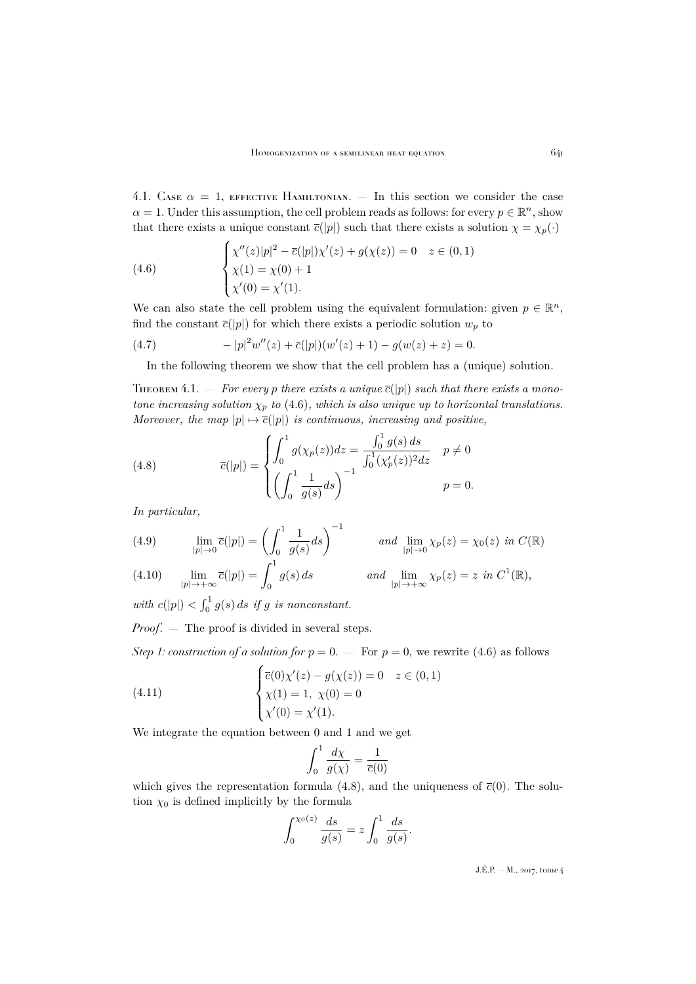4.1. Case  $\alpha = 1$ , EFFECTIVE HAMILTONIAN.  $-$  In this section we consider the case  $\alpha = 1$ . Under this assumption, the cell problem reads as follows: for every  $p \in \mathbb{R}^n$ , show that there exists a unique constant  $\bar{c}(|p|)$  such that there exists a solution  $\chi = \chi_p(\cdot)$ 

<span id="page-9-0"></span>(4.6) 
$$
\begin{cases} \chi''(z)|p|^2 - \overline{c}(|p|)\chi'(z) + g(\chi(z)) = 0 & z \in (0,1) \\ \chi(1) = \chi(0) + 1 \\ \chi'(0) = \chi'(1). \end{cases}
$$

We can also state the cell problem using the equivalent formulation: given  $p \in \mathbb{R}^n$ , find the constant  $\bar{c}(|p|)$  for which there exists a periodic solution  $w_p$  to

(4.7) 
$$
- |p|^2 w''(z) + \overline{c}(|p|)(w'(z) + 1) - g(w(z) + z) = 0.
$$

<span id="page-9-2"></span>In the following theorem we show that the cell problem has a (unique) solution.

<span id="page-9-6"></span>THEOREM 4.1. - For every p there exists a unique  $\overline{c}(|p|)$  such that there exists a mono*tone increasing solution*  $\chi_p$  *to* [\(4.6\)](#page-9-0)*, which is also unique up to horizontal translations. Moreover, the map*  $|p| \mapsto \overline{c}(|p|)$  *is continuous, increasing and positive,* 

<span id="page-9-1"></span>(4.8) 
$$
\overline{c}(|p|) = \begin{cases} \int_0^1 g(\chi_p(z))dz = \frac{\int_0^1 g(s) ds}{\int_0^1 (\chi_p'(z))^2 dz} & p \neq 0\\ \left(\int_0^1 \frac{1}{g(s)} ds\right)^{-1} & p = 0. \end{cases}
$$

*In particular,*

<span id="page-9-4"></span>(4.9) 
$$
\lim_{|p| \to 0} \overline{c}(|p|) = \left(\int_0^1 \frac{1}{g(s)} ds\right)^{-1} \quad \text{and} \quad \lim_{|p| \to 0} \chi_p(z) = \chi_0(z) \text{ in } C(\mathbb{R})
$$

<span id="page-9-5"></span>(4.10) 
$$
\lim_{|p| \to +\infty} \overline{c}(|p|) = \int_0^1 g(s) ds \qquad \text{and} \quad \lim_{|p| \to +\infty} \chi_p(z) = z \text{ in } C^1(\mathbb{R}),
$$

with  $c(|p|) < \int_0^1 g(s) ds$  if g is nonconstant.

*Proof*. — The proof is divided in several steps.

*Step 1: construction of a solution for*  $p = 0$ . — For  $p = 0$ , we rewrite [\(4.6\)](#page-9-0) as follows

(4.11) 
$$
\begin{cases} \overline{c}(0)\chi'(z) - g(\chi(z)) = 0 & z \in (0,1) \\ \chi(1) = 1, \ \chi(0) = 0 \\ \chi'(0) = \chi'(1). \end{cases}
$$

We integrate the equation between 0 and 1 and we get

<span id="page-9-3"></span>
$$
\int_0^1 \frac{d\chi}{g(\chi)} = \frac{1}{\overline{c}(0)}
$$

which gives the representation formula [\(4.8\)](#page-9-1), and the uniqueness of  $\bar{c}(0)$ . The solution  $\chi_0$  is defined implicitly by the formula

$$
\int_0^{\chi_0(z)} \frac{ds}{g(s)} = z \int_0^1 \frac{ds}{g(s)}.
$$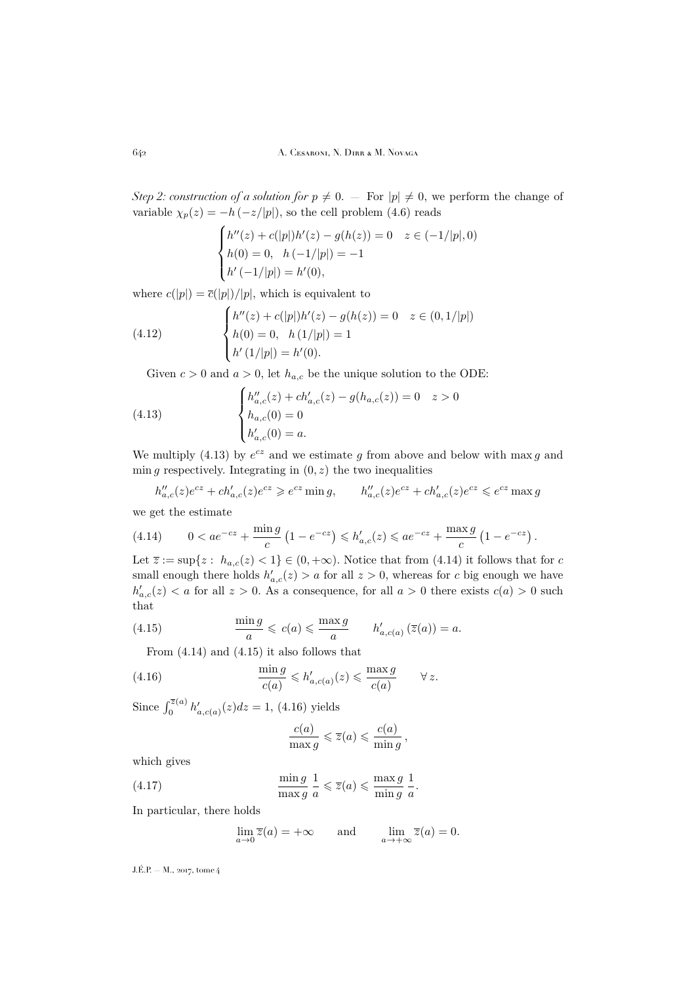*Step 2: construction of a solution for*  $p \neq 0$ . — For  $|p| \neq 0$ , we perform the change of variable  $\chi_p(z) = -h\left(-z/|p|\right)$ , so the cell problem [\(4.6\)](#page-9-0) reads

$$
\begin{cases}\nh''(z) + c(|p|)h'(z) - g(h(z)) = 0 & z \in (-1/|p|, 0) \\
h(0) = 0, \quad h(-1/|p|) = -1 \\
h'(-1/|p|) = h'(0),\n\end{cases}
$$

where  $c(|p|) = \overline{c}(|p|)/|p|$ , which is equivalent to

(4.12) 
$$
\begin{cases} h''(z) + c(|p|)h'(z) - g(h(z)) = 0 & z \in (0, 1/|p|) \\ h(0) = 0, & h(1/|p|) = 1 \\ h'(1/|p|) = h'(0). \end{cases}
$$

<span id="page-10-4"></span><span id="page-10-0"></span>Given  $c > 0$  and  $a > 0$ , let  $h_{a,c}$  be the unique solution to the ODE:

(4.13) 
$$
\begin{cases} h_{a,c}''(z) + ch_{a,c}'(z) - g(h_{a,c}(z)) = 0 & z > 0 \\ h_{a,c}(0) = 0 & \\ h_{a,c}'(0) = a. \end{cases}
$$

We multiply [\(4.13\)](#page-10-0) by  $e^{cz}$  and we estimate g from above and below with max g and min g respectively. Integrating in  $(0, z)$  the two inequalities

$$
h''_{a,c}(z)e^{cz} + ch'_{a,c}(z)e^{cz} \ge e^{cz} \min g, \qquad h''_{a,c}(z)e^{cz} + ch'_{a,c}(z)e^{cz} \le e^{cz} \max g
$$

we get the estimate

<span id="page-10-1"></span>(4.14) 
$$
0 < a e^{-cz} + \frac{\min g}{c} \left( 1 - e^{-cz} \right) \leq h'_{a,c}(z) \leq a e^{-cz} + \frac{\max g}{c} \left( 1 - e^{-cz} \right).
$$

Let  $\overline{z} := \sup\{z : h_{a,c}(z) < 1\} \in (0, +\infty)$ . Notice that from [\(4.14\)](#page-10-1) it follows that for c small enough there holds  $h'_{a,c}(z) > a$  for all  $z > 0$ , whereas for c big enough we have  $h'_{a,c}(z) < a$  for all  $z > 0$ . As a consequence, for all  $a > 0$  there exists  $c(a) > 0$  such that

(4.15) 
$$
\frac{\min g}{a} \leqslant c(a) \leqslant \frac{\max g}{a} \qquad h'_{a,c(a)}(\overline{z}(a)) = a.
$$

<span id="page-10-2"></span>From [\(4.14\)](#page-10-1) and [\(4.15\)](#page-10-2) it also follows that

(4.16) 
$$
\frac{\min g}{c(a)} \leqslant h'_{a,c(a)}(z) \leqslant \frac{\max g}{c(a)} \qquad \forall z.
$$

Since  $\int_0^{\bar{z}(a)} h'_{a,c(a)}(z)dz = 1$ , [\(4.16\)](#page-10-3) yields

<span id="page-10-3"></span>
$$
\frac{c(a)}{\max g} \leqslant \overline{z}(a) \leqslant \frac{c(a)}{\min g},
$$

which gives

(4.17) 
$$
\frac{\min g}{\max g} \frac{1}{a} \leq \overline{z}(a) \leq \frac{\max g}{\min g} \frac{1}{a}.
$$

In particular, there holds

$$
\lim_{a \to 0} \overline{z}(a) = +\infty \quad \text{and} \quad \lim_{a \to +\infty} \overline{z}(a) = 0.
$$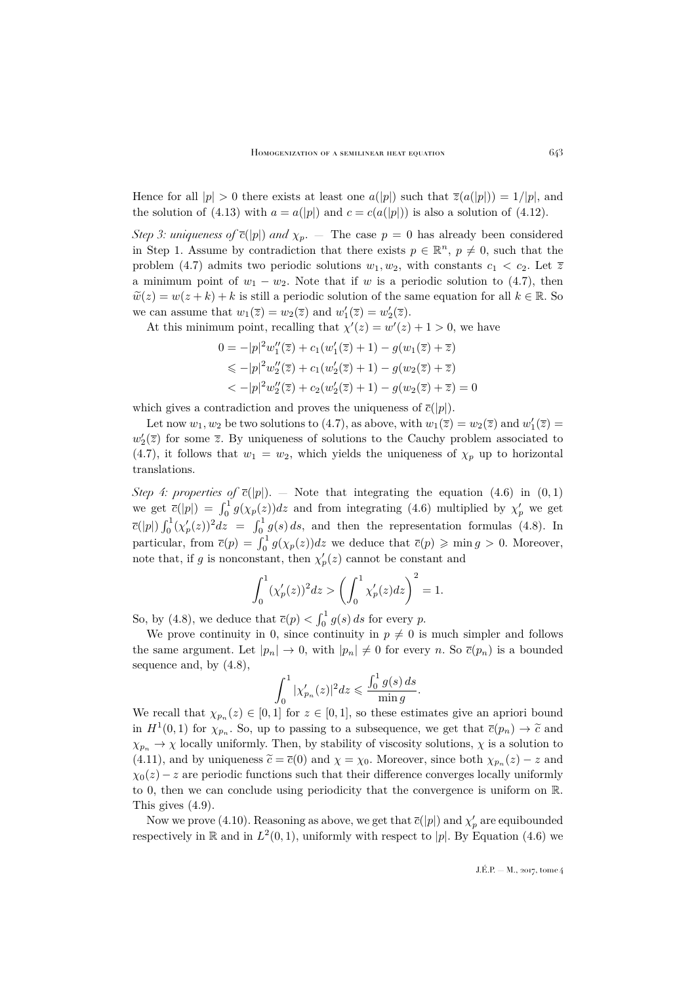Hence for all  $|p| > 0$  there exists at least one  $a(|p|)$  such that  $\overline{z}(a(|p|)) = 1/|p|$ , and the solution of [\(4.13\)](#page-10-0) with  $a = a(|p|)$  and  $c = c(a(|p|))$  is also a solution of [\(4.12\)](#page-10-4).

*Step 3: uniqueness of*  $\bar{c}(|p|)$  *and*  $\chi_p$ . — The case  $p = 0$  has already been considered in Step 1. Assume by contradiction that there exists  $p \in \mathbb{R}^n$ ,  $p \neq 0$ , such that the problem [\(4.7\)](#page-9-2) admits two periodic solutions  $w_1, w_2$ , with constants  $c_1 < c_2$ . Let  $\overline{z}$ a minimum point of  $w_1 - w_2$ . Note that if w is a periodic solution to [\(4.7\)](#page-9-2), then  $\widetilde{w}(z) = w(z + k) + k$  is still a periodic solution of the same equation for all  $k \in \mathbb{R}$ . So we can assume that  $w_1(\overline{z}) = w_2(\overline{z})$  and  $w'_1(\overline{z}) = w'_2(\overline{z})$ .

At this minimum point, recalling that  $\chi'(z) = w'(z) + 1 > 0$ , we have

$$
0 = -|p|^2 w_1''(\overline{z}) + c_1(w_1'(\overline{z}) + 1) - g(w_1(\overline{z}) + \overline{z})
$$
  
\$\leq -|p|^2 w\_2''(\overline{z}) + c\_1(w\_2'(\overline{z}) + 1) - g(w\_2(\overline{z}) + \overline{z})\$  
\$\leq -|p|^2 w\_2''(\overline{z}) + c\_2(w\_2'(\overline{z}) + 1) - g(w\_2(\overline{z}) + \overline{z}) = 0\$

which gives a contradiction and proves the uniqueness of  $\bar{c}(|p|)$ .

Let now  $w_1, w_2$  be two solutions to [\(4.7\)](#page-9-2), as above, with  $w_1(\overline{z}) = w_2(\overline{z})$  and  $w'_1(\overline{z}) =$  $w_2'(\overline{z})$  for some  $\overline{z}$ . By uniqueness of solutions to the Cauchy problem associated to [\(4.7\)](#page-9-2), it follows that  $w_1 = w_2$ , which yields the uniqueness of  $\chi_p$  up to horizontal translations.

*Step 4: properties of*  $\bar{c}(|p|)$ . — Note that integrating the equation [\(4.6\)](#page-9-0) in (0,1) we get  $\bar{c}(|p|) = \int_0^1 g(\chi_p(z))dz$  and from integrating [\(4.6\)](#page-9-0) multiplied by  $\chi'_p$  we get  $\bar{c}(|p|)\int_0^1 (\chi_p'(z))^2 dz = \int_0^1 g(s) ds$ , and then the representation formulas [\(4.8\)](#page-9-1). In particular, from  $\bar{c}(p) = \int_0^1 g(\chi_p(z))dz$  we deduce that  $\bar{c}(p) \geqslant \min g > 0$ . Moreover, note that, if g is nonconstant, then  $\chi'_p(z)$  cannot be constant and

$$
\int_0^1 (\chi_p'(z))^2 dz > \left(\int_0^1 \chi_p'(z) dz\right)^2 = 1.
$$

So, by [\(4.8\)](#page-9-1), we deduce that  $\overline{c}(p) < \int_0^1 g(s) ds$  for every p.

We prove continuity in 0, since continuity in  $p \neq 0$  is much simpler and follows the same argument. Let  $|p_n| \to 0$ , with  $|p_n| \neq 0$  for every n. So  $\bar{c}(p_n)$  is a bounded sequence and, by [\(4.8\)](#page-9-1),

$$
\int_0^1 |\chi_{p_n}'(z)|^2 dz \leqslant \frac{\int_0^1 g(s) ds}{\min g}.
$$

We recall that  $\chi_{p_n}(z) \in [0,1]$  for  $z \in [0,1]$ , so these estimates give an apriori bound in  $H^1(0,1)$  for  $\chi_{p_n}$ . So, up to passing to a subsequence, we get that  $\overline{c}(p_n) \to \widetilde{c}$  and  $\chi_{p_n} \to \chi$  locally uniformly. Then, by stability of viscosity solutions,  $\chi$  is a solution to [\(4.11\)](#page-9-3), and by uniqueness  $\tilde{c} = \bar{c}(0)$  and  $\chi = \chi_0$ . Moreover, since both  $\chi_{p_n}(z) - z$  and  $\chi_0(z) - z$  are periodic functions such that their difference converges locally uniformly to 0, then we can conclude using periodicity that the convergence is uniform on R. This gives [\(4.9\)](#page-9-4).

Now we prove [\(4.10\)](#page-9-5). Reasoning as above, we get that  $\bar{c}(|p|)$  and  $\chi'_p$  are equibounded respectively in  $\mathbb R$  and in  $L^2(0,1)$ , uniformly with respect to |p|. By Equation [\(4.6\)](#page-9-0) we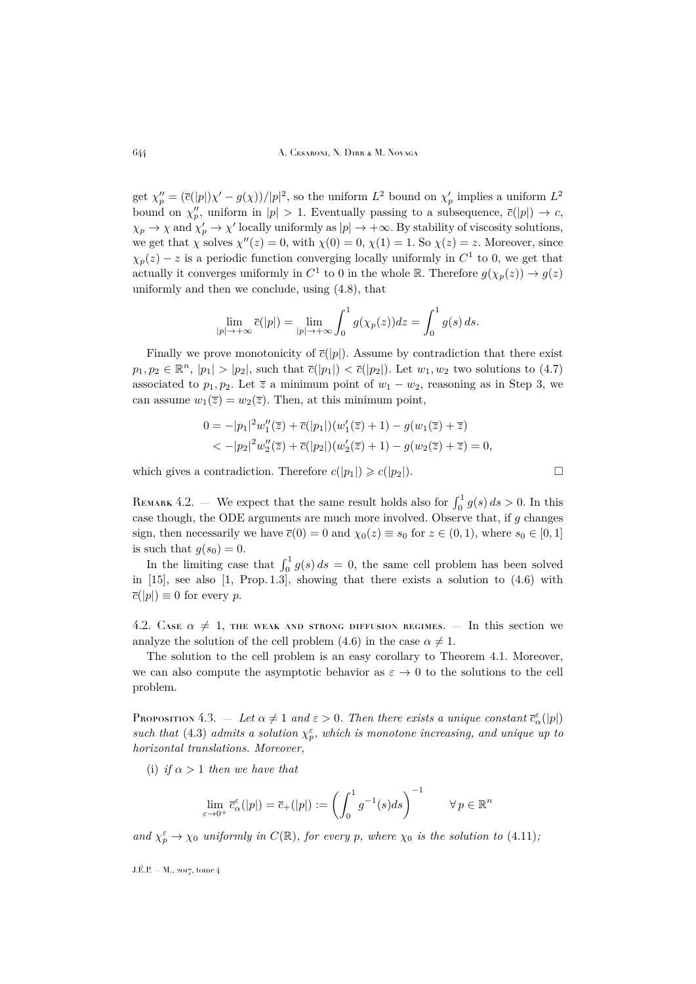get  $\chi''_p = (\bar{c}(|p|)\chi' - g(\chi))/|p|^2$ , so the uniform  $L^2$  bound on  $\chi'_p$  implies a uniform  $L^2$ bound on  $\chi_p''$ , uniform in  $|p| > 1$ . Eventually passing to a subsequence,  $\bar{c}(|p|) \to c$ ,  $\chi_p \to \chi$  and  $\chi'_p \to \chi'$  locally uniformly as  $|p| \to +\infty$ . By stability of viscosity solutions, we get that  $\chi$  solves  $\chi''(z) = 0$ , with  $\chi(0) = 0$ ,  $\chi(1) = 1$ . So  $\chi(z) = z$ . Moreover, since  $\chi_p(z) - z$  is a periodic function converging locally uniformly in  $C^1$  to 0, we get that actually it converges uniformly in  $C^1$  to 0 in the whole  $\mathbb R$ . Therefore  $g(\chi_p(z)) \to g(z)$ uniformly and then we conclude, using [\(4.8\)](#page-9-1), that

$$
\lim_{|p| \to +\infty} \overline{c}(|p|) = \lim_{|p| \to +\infty} \int_0^1 g(\chi_p(z))dz = \int_0^1 g(s) ds.
$$

Finally we prove monotonicity of  $\bar{c}(|p|)$ . Assume by contradiction that there exist  $p_1, p_2 \in \mathbb{R}^n$ ,  $|p_1| > |p_2|$ , such that  $\bar{c}(|p_1|) < \bar{c}(|p_2|)$ . Let  $w_1, w_2$  two solutions to  $(4.7)$ associated to  $p_1, p_2$ . Let  $\overline{z}$  a minimum point of  $w_1 - w_2$ , reasoning as in Step 3, we can assume  $w_1(\overline{z}) = w_2(\overline{z})$ . Then, at this minimum point,

$$
0 = -|p_1|^2 w_1''(\overline{z}) + \overline{c}(|p_1|)(w_1'(\overline{z}) + 1) - g(w_1(\overline{z}) + \overline{z})
$$
  
< 
$$
< -|p_2|^2 w_2''(\overline{z}) + \overline{c}(|p_2|)(w_2'(\overline{z}) + 1) - g(w_2(\overline{z}) + \overline{z}) = 0,
$$

which gives a contradiction. Therefore  $c(|p_1|) \geqslant c(|p_2|)$ .

REMARK 4.2. – We expect that the same result holds also for  $\int_0^1 g(s) ds > 0$ . In this case though, the ODE arguments are much more involved. Observe that, if  $g$  changes sign, then necessarily we have  $\bar{c}(0) = 0$  and  $\chi_0(z) \equiv s_0$  for  $z \in (0,1)$ , where  $s_0 \in [0,1]$ is such that  $g(s_0) = 0$ .

In the limiting case that  $\int_0^1 g(s) ds = 0$ , the same cell problem has been solved in [\[15\]](#page-28-2), see also [\[1,](#page-27-1) Prop. 1.3], showing that there exists a solution to [\(4.6\)](#page-9-0) with  $\overline{c}(|p|) \equiv 0$  for every p.

4.2. CASE  $\alpha \neq 1$ , the weak and strong diffusion regimes.  $-$  In this section we analyze the solution of the cell problem [\(4.6\)](#page-9-0) in the case  $\alpha \neq 1$ .

The solution to the cell problem is an easy corollary to Theorem [4.1.](#page-9-6) Moreover, we can also compute the asymptotic behavior as  $\varepsilon \to 0$  to the solutions to the cell problem.

<span id="page-12-0"></span>Proposition 4.3.  $-$  *Let*  $\alpha \neq 1$  *and*  $\varepsilon > 0$ *. Then there exists a unique constant*  $\bar{c}_{\alpha}^{\varepsilon}(|p|)$ such that [\(4.3\)](#page-8-1) admits a solution  $\chi_p^{\varepsilon}$ , which is monotone increasing, and unique up to *horizontal translations. Moreover,*

(i) *if*  $\alpha > 1$  *then we have that* 

$$
\lim_{\varepsilon \to 0^+} \overline{c}_{\alpha}^{\varepsilon}(|p|) = \overline{c}_{+}(|p|) := \left(\int_0^1 g^{-1}(s)ds\right)^{-1} \qquad \forall \, p \in \mathbb{R}^n
$$

and  $\chi_p^{\varepsilon} \to \chi_0$  *uniformly in*  $C(\mathbb{R})$ *, for every* p*, where*  $\chi_0$  *is the solution to* [\(4.11\)](#page-9-3)*;*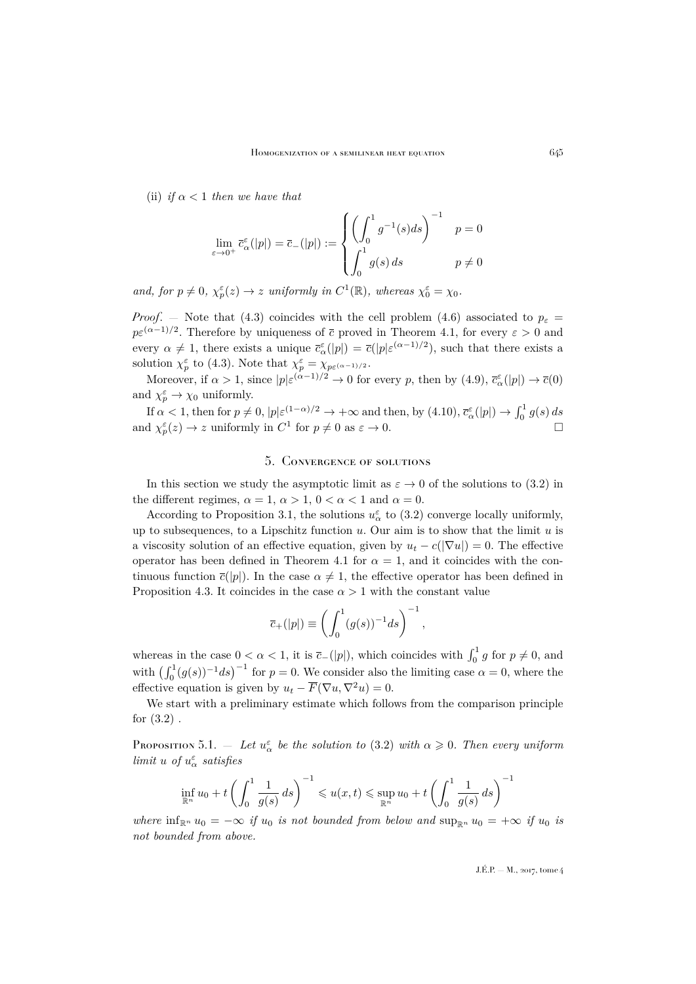(ii) *if*  $\alpha < 1$  *then we have that* 

$$
\lim_{\varepsilon \to 0^+} \overline{c}_{\alpha}^{\varepsilon}(|p|) = \overline{c}_{-}(|p|) := \begin{cases} \left(\int_0^1 g^{-1}(s)ds\right)^{-1} & p = 0\\ \int_0^1 g(s) \, ds & p \neq 0 \end{cases}
$$

 $and, for p \neq 0, \ \chi_p^{\varepsilon}(z) \to z \ \text{uniformly in } C^1(\mathbb{R}), \text{ whereas } \chi_0^{\varepsilon} = \chi_0.$ 

*Proof.* – Note that [\(4.3\)](#page-8-1) coincides with the cell problem [\(4.6\)](#page-9-0) associated to  $p_{\varepsilon}$  =  $p\varepsilon^{(\alpha-1)/2}$ . Therefore by uniqueness of  $\bar{c}$  proved in Theorem [4.1,](#page-9-6) for every  $\varepsilon > 0$  and every  $\alpha \neq 1$ , there exists a unique  $\bar{c}_{\alpha}^{\varepsilon}(|p|) = \bar{c}(|p|\varepsilon^{(\alpha-1)/2})$ , such that there exists a solution  $\chi_p^{\varepsilon}$  to [\(4.3\)](#page-8-1). Note that  $\chi_p^{\varepsilon} = \chi_{p\varepsilon^{(\alpha-1)/2}}$ .

Moreover, if  $\alpha > 1$ , since  $|p| \varepsilon^{(\alpha-1)/2} \to 0$  for every p, then by  $(4.9)$ ,  $\bar{c}_{\alpha}^{\varepsilon}(|p|) \to \bar{c}(0)$ and  $\chi_p^{\varepsilon} \to \chi_0$  uniformly.

If  $\alpha < 1$ , then for  $p \neq 0$ ,  $|p|\varepsilon^{(1-\alpha)/2} \to +\infty$  and then, by  $(4.10)$ ,  $\bar{c}_{\alpha}^{\varepsilon}(|p|) \to \int_0^1 g(s) ds$ and  $\chi_p^{\varepsilon}(z) \to z$  uniformly in  $C^1$  for  $p \neq 0$  as  $\varepsilon \to 0$ .

#### 5. Convergence of solutions

<span id="page-13-0"></span>In this section we study the asymptotic limit as  $\varepsilon \to 0$  of the solutions to [\(3.2\)](#page-6-3) in the different regimes,  $\alpha = 1, \alpha > 1, 0 < \alpha < 1$  and  $\alpha = 0$ .

According to Proposition [3.1,](#page-6-7) the solutions  $u_{\alpha}^{\varepsilon}$  to [\(3.2\)](#page-6-3) converge locally uniformly, up to subsequences, to a Lipschitz function  $u$ . Our aim is to show that the limit  $u$  is a viscosity solution of an effective equation, given by  $u_t - c(|\nabla u|) = 0$ . The effective operator has been defined in Theorem [4.1](#page-9-6) for  $\alpha = 1$ , and it coincides with the continuous function  $\bar{c}(|p|)$ . In the case  $\alpha \neq 1$ , the effective operator has been defined in Proposition [4.3.](#page-12-0) It coincides in the case  $\alpha > 1$  with the constant value

$$
\overline{c}_{+}(|p|) \equiv \left(\int_0^1 (g(s))^{-1} ds\right)^{-1},
$$

whereas in the case  $0 < \alpha < 1$ , it is  $\bar{c}_-(|p|)$ , which coincides with  $\int_0^1 g$  for  $p \neq 0$ , and with  $\left(\int_0^1 (g(s))^{-1} ds\right)^{-1}$  for  $p = 0$ . We consider also the limiting case  $\alpha = 0$ , where the effective equation is given by  $u_t - \overline{F}(\nabla u, \nabla^2 u) = 0$ .

We start with a preliminary estimate which follows from the comparison principle for [\(3.2\)](#page-6-3) .

<span id="page-13-1"></span>Proposition 5.1.  $-$  *Let*  $u^{\varepsilon}_{\alpha}$  *be the solution to* [\(3.2\)](#page-6-3) *with*  $\alpha \geqslant 0$ *. Then every uniform limit* u of  $u^{\varepsilon}_{\alpha}$  *satisfies* 

$$
\inf_{\mathbb{R}^n} u_0 + t \left( \int_0^1 \frac{1}{g(s)} ds \right)^{-1} \leq u(x, t) \leq \sup_{\mathbb{R}^n} u_0 + t \left( \int_0^1 \frac{1}{g(s)} ds \right)^{-1}
$$

*where*  $\inf_{\mathbb{R}^n} u_0 = -\infty$  *if*  $u_0$  *is not bounded from below and*  $\sup_{\mathbb{R}^n} u_0 = +\infty$  *if*  $u_0$  *is not bounded from above.*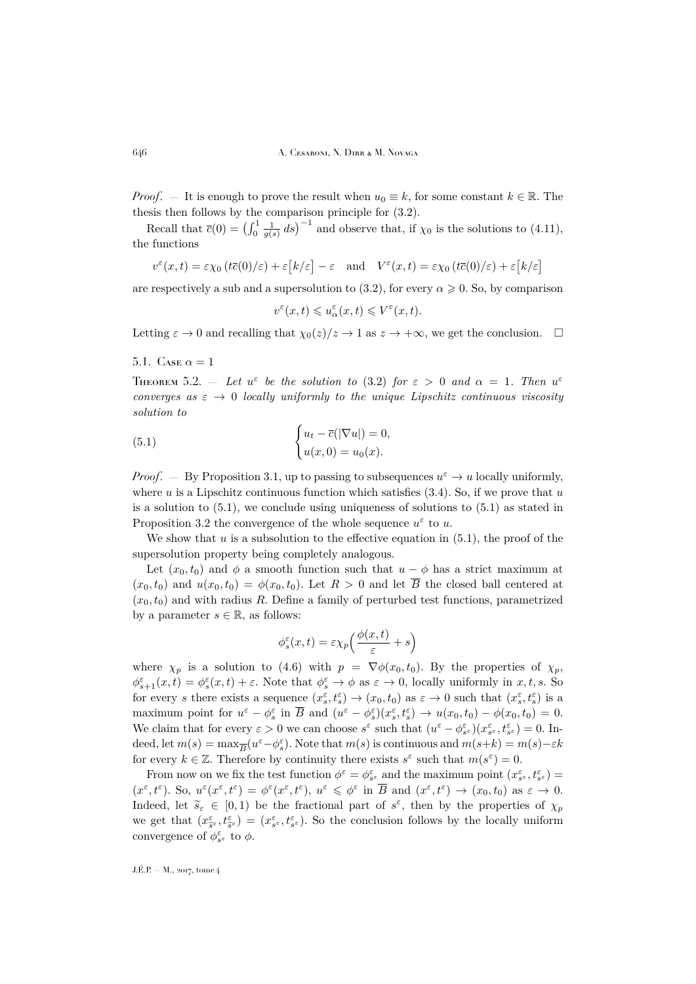*Proof.* — It is enough to prove the result when  $u_0 \equiv k$ , for some constant  $k \in \mathbb{R}$ . The thesis then follows by the comparison principle for [\(3.2\)](#page-6-3).

Recall that  $\bar{c}(0) = \left(\int_0^1 \frac{1}{g(s)} ds\right)^{-1}$  and observe that, if  $\chi_0$  is the solutions to [\(4.11\)](#page-9-3), the functions

$$
v^{\varepsilon}(x,t) = \varepsilon \chi_0(t\overline{c}(0)/\varepsilon) + \varepsilon [k/\varepsilon] - \varepsilon \quad \text{and} \quad V^{\varepsilon}(x,t) = \varepsilon \chi_0(t\overline{c}(0)/\varepsilon) + \varepsilon [k/\varepsilon]
$$

are respectively a sub and a supersolution to [\(3.2\)](#page-6-3), for every  $\alpha \geq 0$ . So, by comparison

<span id="page-14-0"></span>
$$
v^\varepsilon(x,t)\leqslant u^\varepsilon_\alpha(x,t)\leqslant V^\varepsilon(x,t).
$$

Letting  $\varepsilon \to 0$  and recalling that  $\chi_0(z)/z \to 1$  as  $z \to +\infty$ , we get the conclusion.  $\square$ 

5.1. Case  $\alpha = 1$ 

<span id="page-14-1"></span>THEOREM 5.2. – Let  $u^{\varepsilon}$  be the solution to [\(3.2\)](#page-6-3) for  $\varepsilon > 0$  and  $\alpha = 1$ . Then  $u^{\varepsilon}$ *converges as*  $\varepsilon \to 0$  *locally uniformly to the unique Lipschitz continuous viscosity solution to*

(5.1) 
$$
\begin{cases} u_t - \overline{c}(|\nabla u|) = 0, \\ u(x, 0) = u_0(x). \end{cases}
$$

*Proof.* – By Proposition [3.1,](#page-6-7) up to passing to subsequences  $u^{\varepsilon} \to u$  locally uniformly, where  $u$  is a Lipschitz continuous function which satisfies  $(3.4)$ . So, if we prove that  $u$ is a solution to  $(5.1)$ , we conclude using uniqueness of solutions to  $(5.1)$  as stated in Proposition [3.2](#page-8-4) the convergence of the whole sequence  $u^{\varepsilon}$  to u.

We show that  $u$  is a subsolution to the effective equation in  $(5.1)$ , the proof of the supersolution property being completely analogous.

Let  $(x_0, t_0)$  and  $\phi$  a smooth function such that  $u - \phi$  has a strict maximum at  $(x_0, t_0)$  and  $u(x_0, t_0) = \phi(x_0, t_0)$ . Let  $R > 0$  and let  $\overline{B}$  the closed ball centered at  $(x_0, t_0)$  and with radius R. Define a family of perturbed test functions, parametrized by a parameter  $s \in \mathbb{R}$ , as follows:

$$
\phi_s^{\varepsilon}(x,t) = \varepsilon \chi_p \left( \frac{\phi(x,t)}{\varepsilon} + s \right)
$$

where  $\chi_p$  is a solution to [\(4.6\)](#page-9-0) with  $p = \nabla \phi(x_0, t_0)$ . By the properties of  $\chi_p$ ,  $\phi_{s+1}^{\varepsilon}(x,t) = \phi_s^{\varepsilon}(x,t) + \varepsilon$ . Note that  $\phi_s^{\varepsilon} \to \phi$  as  $\varepsilon \to 0$ , locally uniformly in  $x, t, s$ . So for every s there exists a sequence  $(x_s^{\varepsilon}, t_s^{\varepsilon}) \to (x_0, t_0)$  as  $\varepsilon \to 0$  such that  $(x_s^{\varepsilon}, t_s^{\varepsilon})$  is a maximum point for  $u^{\varepsilon} - \phi^{\varepsilon}_s$  in  $\overline{B}$  and  $(u^{\varepsilon} - \phi^{\varepsilon}_s)(x^{\varepsilon}_s, t^{\varepsilon}_s) \to u(x_0, t_0) - \phi(x_0, t_0) = 0$ . We claim that for every  $\varepsilon > 0$  we can choose  $s^{\varepsilon}$  such that  $(u^{\varepsilon} - \phi_{s^{\varepsilon}}^{\varepsilon})(x_{s^{\varepsilon}}^{\varepsilon}, t_{s^{\varepsilon}}^{\varepsilon}) = 0$ . Indeed, let  $m(s) = \max_{\overline{B}} (u^{\varepsilon} - \phi_s^{\varepsilon})$ . Note that  $m(s)$  is continuous and  $m(s+k) = m(s) - \varepsilon k$ for every  $k \in \mathbb{Z}$ . Therefore by continuity there exists  $s^{\varepsilon}$  such that  $m(s^{\varepsilon}) = 0$ .

From now on we fix the test function  $\phi^{\varepsilon} = \phi_{s^{\varepsilon}}^{\varepsilon}$  and the maximum point  $(x_{s^{\varepsilon}}^{\varepsilon}, t_{s^{\varepsilon}}^{\varepsilon}) =$  $(x^{\varepsilon}, t^{\varepsilon})$ . So,  $u^{\varepsilon}(x^{\varepsilon}, t^{\varepsilon}) = \phi^{\varepsilon}(x^{\varepsilon}, t^{\varepsilon})$ ,  $u^{\varepsilon} \leq \phi^{\varepsilon}$  in  $\overline{B}$  and  $(x^{\varepsilon}, t^{\varepsilon}) \to (x_0, t_0)$  as  $\varepsilon \to 0$ . Indeed, let  $\tilde{s}_{\varepsilon} \in [0,1)$  be the fractional part of  $s^{\varepsilon}$ , then by the properties of  $\chi_p$ we get that  $(x_{\tilde{s}\varepsilon}^{\varepsilon}, t_{\tilde{s}\varepsilon}^{\varepsilon}) = (x_{s\varepsilon}^{\varepsilon}, t_{s\varepsilon}^{\varepsilon})$ . So the conclusion follows by the locally uniform convergence of  $\phi_{s^{\varepsilon}}^{\varepsilon}$  to  $\phi$ .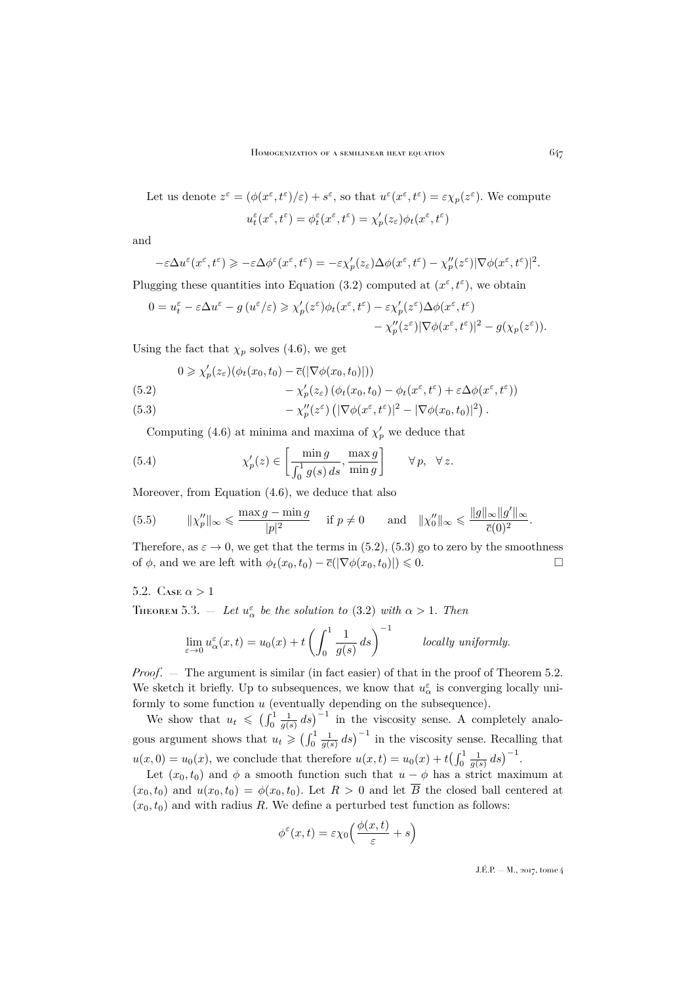Let us denote  $z^{\varepsilon} = (\phi(x^{\varepsilon}, t^{\varepsilon})/\varepsilon) + s^{\varepsilon}$ , so that  $u^{\varepsilon}(x^{\varepsilon}, t^{\varepsilon}) = \varepsilon \chi_p(z^{\varepsilon})$ . We compute  $u_t^{\varepsilon}(x^{\varepsilon},t^{\varepsilon})=\phi_t^{\varepsilon}(x^{\varepsilon},t^{\varepsilon})=\chi_p'(z_{\varepsilon})\phi_t(x^{\varepsilon},t^{\varepsilon})$ 

and

$$
-\varepsilon \Delta u^{\varepsilon}(x^{\varepsilon},t^{\varepsilon}) \geqslant -\varepsilon \Delta \phi^{\varepsilon}(x^{\varepsilon},t^{\varepsilon}) = -\varepsilon \chi_{p}'(z_{\varepsilon}) \Delta \phi(x^{\varepsilon},t^{\varepsilon}) - \chi_{p}''(z^{\varepsilon}) |\nabla \phi(x^{\varepsilon},t^{\varepsilon})|^{2}.
$$

Plugging these quantities into Equation [\(3.2\)](#page-6-3) computed at  $(x^{\varepsilon}, t^{\varepsilon})$ , we obtain

$$
\begin{split} 0 = u_t^\varepsilon - \varepsilon \Delta u^\varepsilon - g \left( u^\varepsilon / \varepsilon \right) &\ge \chi_p'(z^\varepsilon) \phi_t(x^\varepsilon, t^\varepsilon) - \varepsilon \chi_p'(z^\varepsilon) \Delta \phi(x^\varepsilon, t^\varepsilon) \\ &- \chi_p''(z^\varepsilon) |\nabla \phi(x^\varepsilon, t^\varepsilon)|^2 - g(\chi_p(z^\varepsilon)). \end{split}
$$

Using the fact that  $\chi_p$  solves [\(4.6\)](#page-9-0), we get

$$
0 \geqslant \chi_p'(z_\varepsilon)(\phi_t(x_0,t_0)-\overline{c}(|\nabla \phi(x_0,t_0)|))
$$

<span id="page-15-0"></span>(5.2) 
$$
-\chi_p'(z_{\varepsilon})\left(\phi_t(x_0,t_0)-\phi_t(x^{\varepsilon},t^{\varepsilon})+\varepsilon\Delta\phi(x^{\varepsilon},t^{\varepsilon})\right)
$$

<span id="page-15-1"></span>(5.3) 
$$
-\chi_p''(z^{\varepsilon}) \left( |\nabla \phi(x^{\varepsilon}, t^{\varepsilon})|^2 - |\nabla \phi(x_0, t_0)|^2 \right).
$$

<span id="page-15-2"></span>Computing [\(4.6\)](#page-9-0) at minima and maxima of  $\chi'_p$  we deduce that

(5.4) 
$$
\chi_p'(z) \in \left[\frac{\min g}{\int_0^1 g(s) ds}, \frac{\max g}{\min g}\right] \qquad \forall p, \quad \forall z.
$$

Moreover, from Equation [\(4.6\)](#page-9-0), we deduce that also

<span id="page-15-3"></span>(5.5) 
$$
\|\chi''_p\|_{\infty} \le \frac{\max g - \min g}{|p|^2}
$$
 if  $p \ne 0$  and  $\|\chi''_0\|_{\infty} \le \frac{\|g\|_{\infty} \|g'\|_{\infty}}{\bar{c}(0)^2}$ .

Therefore, as  $\varepsilon \to 0$ , we get that the terms in [\(5.2\)](#page-15-0), [\(5.3\)](#page-15-1) go to zero by the smoothness of  $\phi$  and we are left with  $\phi_t(r_0, t_0) - \overline{c}(|\nabla \phi(r_0, t_0)|) \leq 0$ of  $\phi$ , and we are left with  $\phi_t(x_0, t_0) - \overline{c}(|\nabla \phi(x_0, t_0)|) \leq 0$ .

5.2. CASE  $\alpha > 1$ 

THEOREM 5.3.  $-$  Let  $u^{\varepsilon}_{\alpha}$  be the solution to [\(3.2\)](#page-6-3) with  $\alpha > 1$ . Then

$$
\lim_{\varepsilon \to 0} u_{\alpha}^{\varepsilon}(x, t) = u_0(x) + t \left( \int_0^1 \frac{1}{g(s)} ds \right)^{-1} \qquad locally \text{ uniformly.}
$$

*Proof.* — The argument is similar (in fact easier) of that in the proof of Theorem [5.2.](#page-14-1) We sketch it briefly. Up to subsequences, we know that  $u^{\varepsilon}_{\alpha}$  is converging locally uniformly to some function u (eventually depending on the subsequence).

We show that  $u_t \leq ( \int_0^1 \frac{1}{g(s)} ds )^{-1}$  in the viscosity sense. A completely analogous argument shows that  $u_t \geqslant (\int_0^1 \frac{1}{g(s)} ds)^{-1}$  in the viscosity sense. Recalling that  $u(x, 0) = u_0(x)$ , we conclude that therefore  $u(x,t) = u_0(x) + t(\int_0^1 \frac{1}{g(s)} ds)^{-1}$ .

Let  $(x_0, t_0)$  and  $\phi$  a smooth function such that  $u - \phi$  has a strict maximum at  $(x_0, t_0)$  and  $u(x_0, t_0) = \phi(x_0, t_0)$ . Let  $R > 0$  and let  $\overline{B}$  the closed ball centered at  $(x_0, t_0)$  and with radius R. We define a perturbed test function as follows:

$$
\phi^{\varepsilon}(x,t) = \varepsilon \chi_0 \left( \frac{\phi(x,t)}{\varepsilon} + s \right)
$$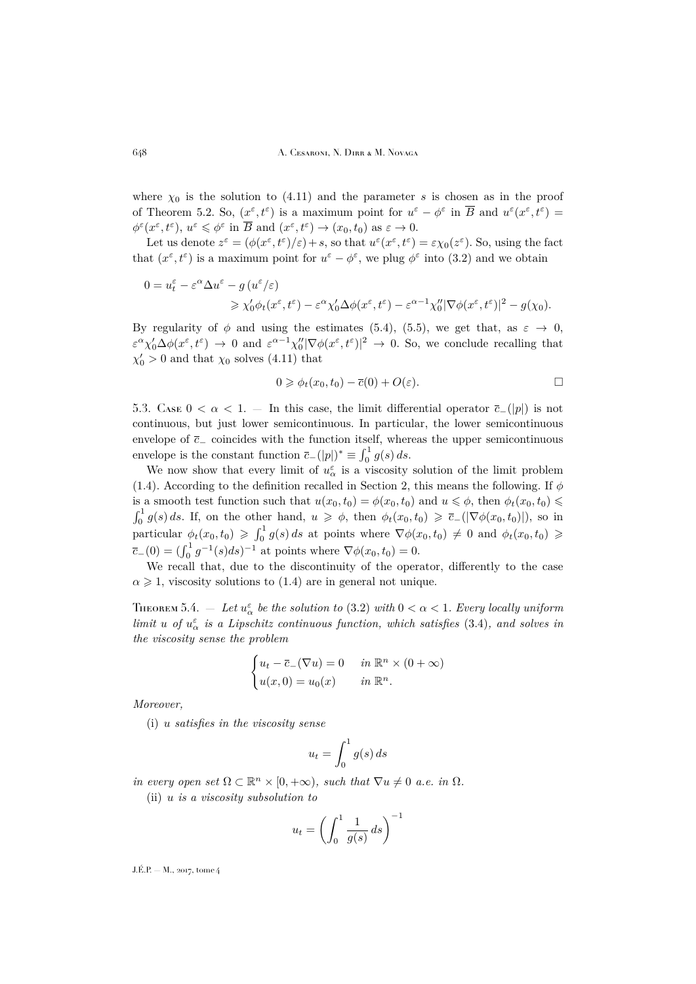where  $\chi_0$  is the solution to [\(4.11\)](#page-9-3) and the parameter s is chosen as in the proof of Theorem [5.2.](#page-14-1) So,  $(\underline{x}^{\varepsilon}, t^{\varepsilon})$  is a maximum point for  $u^{\varepsilon} - \phi^{\varepsilon}$  in  $\overline{B}$  and  $u^{\varepsilon}(x^{\varepsilon}, t^{\varepsilon}) =$  $\phi^{\varepsilon}(x^{\varepsilon}, t^{\varepsilon}), u^{\varepsilon} \leqslant \phi^{\varepsilon}$  in  $\overline{B}$  and  $(x^{\varepsilon}, t^{\varepsilon}) \to (x_0, t_0)$  as  $\varepsilon \to 0$ .

Let us denote  $z^{\varepsilon} = (\phi(x^{\varepsilon}, t^{\varepsilon})/\varepsilon) + s$ , so that  $u^{\varepsilon}(x^{\varepsilon}, t^{\varepsilon}) = \varepsilon \chi_0(z^{\varepsilon})$ . So, using the fact that  $(x^{\varepsilon}, t^{\varepsilon})$  is a maximum point for  $u^{\varepsilon} - \phi^{\varepsilon}$ , we plug  $\phi^{\varepsilon}$  into [\(3.2\)](#page-6-3) and we obtain

$$
0 = u_t^{\varepsilon} - \varepsilon^{\alpha} \Delta u^{\varepsilon} - g(u^{\varepsilon}/\varepsilon)
$$
  
\$\ge \chi'\_0 \phi\_t(x^{\varepsilon}, t^{\varepsilon}) - \varepsilon^{\alpha} \chi'\_0 \Delta \phi(x^{\varepsilon}, t^{\varepsilon}) - \varepsilon^{\alpha - 1} \chi''\_0 |\nabla \phi(x^{\varepsilon}, t^{\varepsilon})|^2 - g(\chi\_0)\$.

By regularity of  $\phi$  and using the estimates [\(5.4\)](#page-15-2), [\(5.5\)](#page-15-3), we get that, as  $\varepsilon \to 0$ ,  $\varepsilon^{\alpha}\chi_0'\Delta\phi(x^{\varepsilon},t^{\varepsilon}) \to 0$  and  $\varepsilon^{\alpha-1}\chi_0''|\nabla\phi(x^{\varepsilon},t^{\varepsilon})|^2 \to 0$ . So, we conclude recalling that  $\chi'_0 > 0$  and that  $\chi_0$  solves [\(4.11\)](#page-9-3) that

$$
0 \geqslant \phi_t(x_0, t_0) - \overline{c}(0) + O(\varepsilon).
$$

5.3. Case  $0 < \alpha < 1$ . — In this case, the limit differential operator  $\bar{c}_-(|p|)$  is not continuous, but just lower semicontinuous. In particular, the lower semicontinuous envelope of  $\bar{c}_-$  coincides with the function itself, whereas the upper semicontinuous envelope is the constant function  $\overline{c}_-(|p|)^* \equiv \int_0^1 g(s) ds$ .

We now show that every limit of  $u^{\varepsilon}_{\alpha}$  is a viscosity solution of the limit problem [\(1.4\)](#page-2-3). According to the definition recalled in Section [2,](#page-5-0) this means the following. If  $\phi$ is a smooth test function such that  $u(x_0, t_0) = \phi(x_0, t_0)$  and  $u \le \phi$ , then  $\phi_t(x_0, t_0) \le$  $\int_0^1 g(s) ds$ . If, on the other hand,  $u \geqslant \phi$ , then  $\phi_t(x_0, t_0) \geqslant \overline{c}_-(|\nabla \phi(x_0, t_0)|)$ , so in particular  $\phi_t(x_0, t_0) \geqslant \int_0^1 g(s) ds$  at points where  $\nabla \phi(x_0, t_0) \neq 0$  and  $\phi_t(x_0, t_0) \geqslant$  $\overline{c}_-(0) = \left(\int_0^1 g^{-1}(s)ds\right)^{-1}$  at points where  $\nabla \phi(x_0, t_0) = 0$ .

We recall that, due to the discontinuity of the operator, differently to the case  $\alpha \geq 1$ , viscosity solutions to [\(1.4\)](#page-2-3) are in general not unique.

<span id="page-16-0"></span>THEOREM 5.4.  $-$  Let  $u^{\varepsilon}_{\alpha}$  be the solution to [\(3.2\)](#page-6-3) with  $0 < \alpha < 1$ . Every locally uniform *limit* u of  $u^{\varepsilon}_{\alpha}$  is a Lipschitz continuous function, which satisfies [\(3.4\)](#page-6-4), and solves in *the viscosity sense the problem*

$$
\begin{cases} u_t - \overline{c}_-(\nabla u) = 0 & \text{in } \mathbb{R}^n \times (0 + \infty) \\ u(x, 0) = u_0(x) & \text{in } \mathbb{R}^n. \end{cases}
$$

*Moreover,*

(i) u *satisfies in the viscosity sense*

$$
u_t = \int_0^1 g(s) \, ds
$$

*in every open set*  $\Omega \subset \mathbb{R}^n \times [0, +\infty)$ *, such that*  $\nabla u \neq 0$  *a.e. in*  $\Omega$ *.* 

(ii) u *is a viscosity subsolution to*

$$
u_t = \left(\int_0^1 \frac{1}{g(s)} ds\right)^{-1}
$$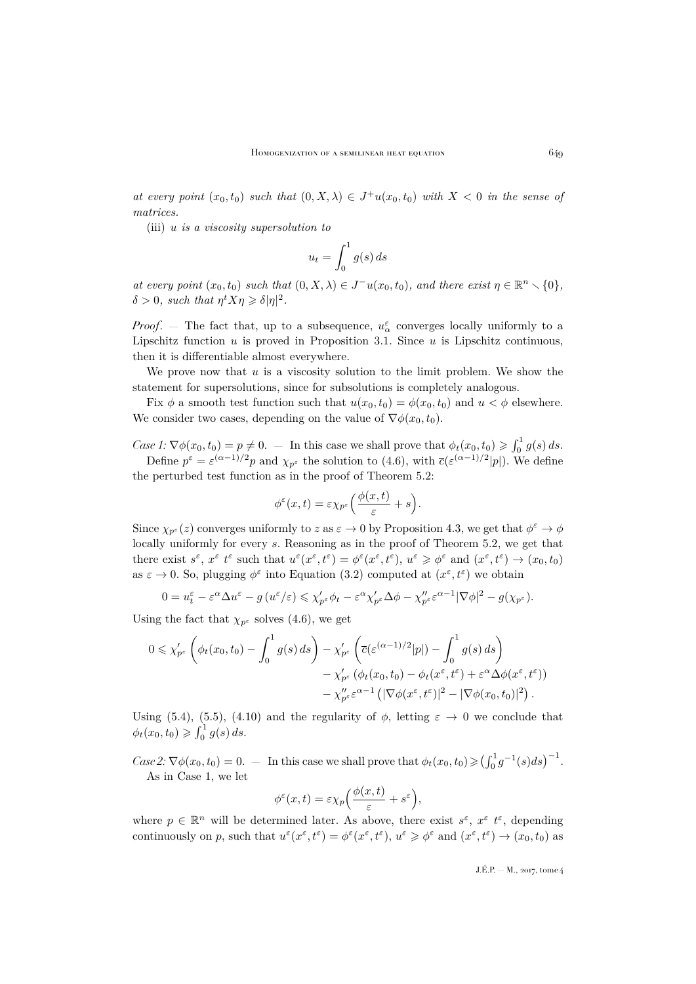*at every point*  $(x_0, t_0)$  *such that*  $(0, X, \lambda) \in J^+u(x_0, t_0)$  *with*  $X < 0$  *in the sense of matrices.*

(iii) u *is a viscosity supersolution to*

$$
u_t = \int_0^1 g(s) \, ds
$$

*at every point*  $(x_0, t_0)$  *such that*  $(0, X, \lambda) \in J^-u(x_0, t_0)$ *, and there exist*  $\eta \in \mathbb{R}^n \setminus \{0\}$ *,*  $\delta > 0$ , such that  $\eta^t X \eta \geqslant \delta |\eta|^2$ .

*Proof.* – The fact that, up to a subsequence,  $u^{\varepsilon}_{\alpha}$  converges locally uniformly to a Lipschitz function  $u$  is proved in Proposition [3.1.](#page-6-7) Since  $u$  is Lipschitz continuous, then it is differentiable almost everywhere.

We prove now that  $u$  is a viscosity solution to the limit problem. We show the statement for supersolutions, since for subsolutions is completely analogous.

Fix  $\phi$  a smooth test function such that  $u(x_0, t_0) = \phi(x_0, t_0)$  and  $u < \phi$  elsewhere. We consider two cases, depending on the value of  $\nabla \phi(x_0, t_0)$ .

*Case 1*:  $\nabla \phi(x_0, t_0) = p \neq 0.$  — In this case we shall prove that  $\phi_t(x_0, t_0) \geqslant \int_0^1 g(s) ds$ .

Define  $p^{\varepsilon} = \varepsilon^{(\alpha-1)/2} p$  and  $\chi_{p^{\varepsilon}}$  the solution to [\(4.6\)](#page-9-0), with  $\overline{c}(\varepsilon^{(\alpha-1)/2}|p|)$ . We define the perturbed test function as in the proof of Theorem [5.2:](#page-14-1)

$$
\phi^{\varepsilon}(x,t) = \varepsilon \chi_{p^{\varepsilon}} \left( \frac{\phi(x,t)}{\varepsilon} + s \right).
$$

Since  $\chi_{p^{\varepsilon}}(z)$  converges uniformly to  $z$  as  $\varepsilon \to 0$  by Proposition [4.3,](#page-12-0) we get that  $\phi^{\varepsilon} \to \phi$ locally uniformly for every s. Reasoning as in the proof of Theorem [5.2,](#page-14-1) we get that there exist  $s^{\varepsilon}$ ,  $x^{\varepsilon}$  t<sup> $\varepsilon$ </sup> such that  $u^{\varepsilon}(x^{\varepsilon}, t^{\varepsilon}) = \phi^{\varepsilon}(x^{\varepsilon}, t^{\varepsilon})$ ,  $u^{\varepsilon} \geq \phi^{\varepsilon}$  and  $(x^{\varepsilon}, t^{\varepsilon}) \to (x_0, t_0)$ as  $\varepsilon \to 0$ . So, plugging  $\phi^{\varepsilon}$  into Equation [\(3.2\)](#page-6-3) computed at  $(x^{\varepsilon}, t^{\varepsilon})$  we obtain

$$
0 = u_t^{\varepsilon} - \varepsilon^{\alpha} \Delta u^{\varepsilon} - g(u^{\varepsilon}/\varepsilon) \leqslant \chi'_{p^{\varepsilon}} \phi_t - \varepsilon^{\alpha} \chi'_{p^{\varepsilon}} \Delta \phi - \chi''_{p^{\varepsilon}} \varepsilon^{\alpha-1} |\nabla \phi|^2 - g(\chi_{p^{\varepsilon}}).
$$

Using the fact that  $\chi_{p^{\varepsilon}}$  solves [\(4.6\)](#page-9-0), we get

$$
0 \leq \chi'_{p^{\varepsilon}} \left( \phi_t(x_0, t_0) - \int_0^1 g(s) \, ds \right) - \chi'_{p^{\varepsilon}} \left( \overline{c} \left( \varepsilon^{(\alpha - 1)/2} |p| \right) - \int_0^1 g(s) \, ds \right) - \chi'_{p^{\varepsilon}} \left( \phi_t(x_0, t_0) - \phi_t(x^{\varepsilon}, t^{\varepsilon}) + \varepsilon^{\alpha} \Delta \phi(x^{\varepsilon}, t^{\varepsilon}) \right) - \chi''_{p^{\varepsilon}} \varepsilon^{\alpha - 1} \left( |\nabla \phi(x^{\varepsilon}, t^{\varepsilon})|^2 - |\nabla \phi(x_0, t_0)|^2 \right).
$$

Using [\(5.4\)](#page-15-2), [\(5.5\)](#page-15-3), [\(4.10\)](#page-9-5) and the regularity of  $\phi$ , letting  $\varepsilon \to 0$  we conclude that  $\phi_t(x_0, t_0) \geqslant \int_0^1 g(s) \, ds.$ 

*Case 2*:  $\nabla \phi(x_0, t_0) = 0.$  — In this case we shall prove that  $\phi_t(x_0, t_0) \geq (\int_0^1 g^{-1}(s) ds)^{-1}$ . As in Case 1, we let

$$
\phi^{\varepsilon}(x,t) = \varepsilon \chi_p \Big( \frac{\phi(x,t)}{\varepsilon} + s^{\varepsilon} \Big),
$$

where  $p \in \mathbb{R}^n$  will be determined later. As above, there exist  $s^{\varepsilon}$ ,  $x^{\varepsilon}$   $t^{\varepsilon}$ , depending continuously on p, such that  $u^{\varepsilon}(x^{\varepsilon}, t^{\varepsilon}) = \phi^{\varepsilon}(x^{\varepsilon}, t^{\varepsilon}), u^{\varepsilon} \geq \phi^{\varepsilon}$  and  $(x^{\varepsilon}, t^{\varepsilon}) \to (x_0, t_0)$  as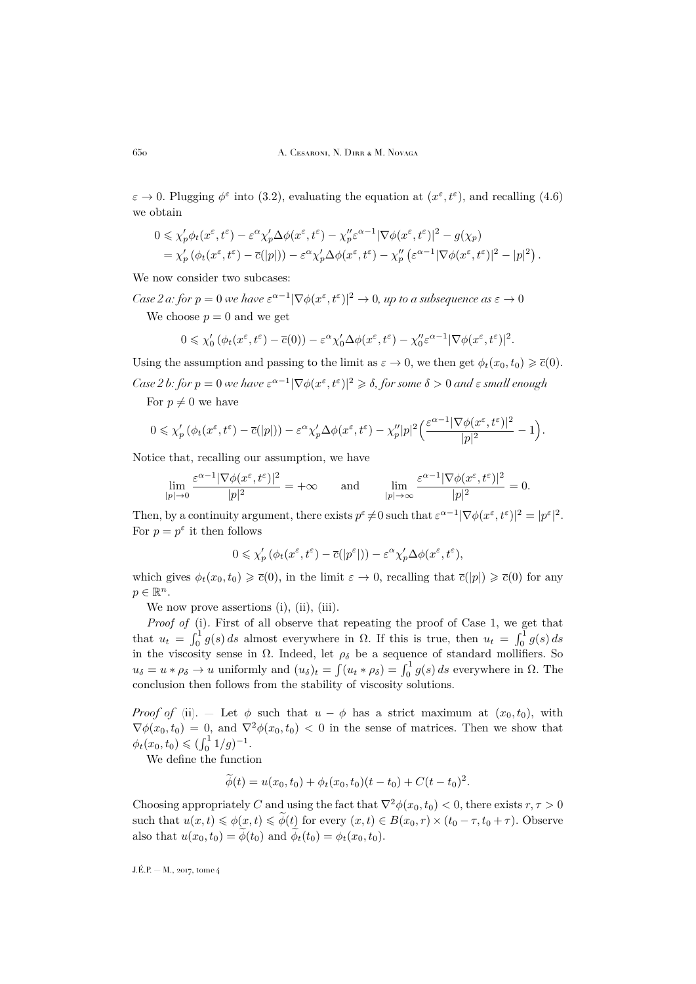$\varepsilon \to 0$ . Plugging  $\phi^{\varepsilon}$  into [\(3.2\)](#page-6-3), evaluating the equation at  $(x^{\varepsilon}, t^{\varepsilon})$ , and recalling [\(4.6\)](#page-9-0) we obtain

$$
0 \leq \chi'_p \phi_t(x^{\varepsilon}, t^{\varepsilon}) - \varepsilon^{\alpha} \chi'_p \Delta \phi(x^{\varepsilon}, t^{\varepsilon}) - \chi''_p \varepsilon^{\alpha-1} |\nabla \phi(x^{\varepsilon}, t^{\varepsilon})|^2 - g(\chi_p)
$$
  
=  $\chi'_p (\phi_t(x^{\varepsilon}, t^{\varepsilon}) - \overline{c}(|p|)) - \varepsilon^{\alpha} \chi'_p \Delta \phi(x^{\varepsilon}, t^{\varepsilon}) - \chi''_p (\varepsilon^{\alpha-1} |\nabla \phi(x^{\varepsilon}, t^{\varepsilon})|^2 - |p|^2).$ 

We now consider two subcases:

*Case 2 a: for*  $p = 0$  we have  $\varepsilon^{\alpha-1} |\nabla \phi(x^{\varepsilon}, t^{\varepsilon})|^2 \to 0$ , up to a subsequence as  $\varepsilon \to 0$ 

We choose  $p = 0$  and we get

$$
0 \leq \chi_0' \left( \phi_t(x^{\varepsilon}, t^{\varepsilon}) - \overline{c}(0) \right) - \varepsilon^{\alpha} \chi_0' \Delta \phi(x^{\varepsilon}, t^{\varepsilon}) - \chi_0'' \varepsilon^{\alpha - 1} |\nabla \phi(x^{\varepsilon}, t^{\varepsilon})|^2.
$$

Using the assumption and passing to the limit as  $\varepsilon \to 0$ , we then get  $\phi_t(x_0, t_0) \geq \overline{c}(0)$ .

*Case 2 b: for*  $p = 0$  we have  $\varepsilon^{\alpha-1} |\nabla \phi(x^{\varepsilon}, t^{\varepsilon})|^2 \geqslant \delta$ , for some  $\delta > 0$  and  $\varepsilon$  small enough

For  $p \neq 0$  we have

$$
0 \leq \chi'_p(\phi_t(x^{\varepsilon}, t^{\varepsilon}) - \overline{c}(|p|)) - \varepsilon^{\alpha} \chi'_p \Delta \phi(x^{\varepsilon}, t^{\varepsilon}) - \chi''_p |p|^2 \Big( \frac{\varepsilon^{\alpha-1} |\nabla \phi(x^{\varepsilon}, t^{\varepsilon})|^2}{|p|^2} - 1 \Big).
$$

Notice that, recalling our assumption, we have

$$
\lim_{|p| \to 0} \frac{\varepsilon^{\alpha-1} |\nabla \phi(x^{\varepsilon}, t^{\varepsilon})|^2}{|p|^2} = +\infty \quad \text{and} \quad \lim_{|p| \to \infty} \frac{\varepsilon^{\alpha-1} |\nabla \phi(x^{\varepsilon}, t^{\varepsilon})|^2}{|p|^2} = 0.
$$

Then, by a continuity argument, there exists  $p^{\varepsilon} \neq 0$  such that  $\varepsilon^{\alpha-1} |\nabla \phi(x^{\varepsilon}, t^{\varepsilon})|^2 = |p^{\varepsilon}|^2$ . For  $p = p^{\varepsilon}$  it then follows

$$
0 \leq \chi'_p \left( \phi_t(x^{\varepsilon}, t^{\varepsilon}) - \overline{c}(|p^{\varepsilon}|) \right) - \varepsilon^{\alpha} \chi'_p \Delta \phi(x^{\varepsilon}, t^{\varepsilon}),
$$

which gives  $\phi_t(x_0, t_0) \geq \overline{c}(0)$ , in the limit  $\varepsilon \to 0$ , recalling that  $\overline{c}(|p|) \geq \overline{c}(0)$  for any  $p \in \mathbb{R}^n$ .

We now prove assertions (i), (ii), (iii).

*Proof of* (i)*.* First of all observe that repeating the proof of Case 1, we get that that  $u_t = \int_0^1 g(s) ds$  almost everywhere in  $\Omega$ . If this is true, then  $u_t = \int_0^1 g(s) ds$ in the viscosity sense in  $\Omega$ . Indeed, let  $\rho_{\delta}$  be a sequence of standard mollifiers. So  $u_{\delta} = u * \rho_{\delta} \to u$  uniformly and  $(u_{\delta})_t = \int (u_t * \rho_{\delta}) = \int_0^1 g(s) ds$  everywhere in  $\Omega$ . The conclusion then follows from the stability of viscosity solutions.

*Proof of* (ii). — Let  $\phi$  such that  $u - \phi$  has a strict maximum at  $(x_0, t_0)$ , with  $\nabla \phi(x_0, t_0) = 0$ , and  $\nabla^2 \phi(x_0, t_0) < 0$  in the sense of matrices. Then we show that  $\phi_t(x_0, t_0) \leqslant (\int_0^1 1/g)^{-1}.$ 

We define the function

$$
\widetilde{\phi}(t) = u(x_0, t_0) + \phi_t(x_0, t_0)(t - t_0) + C(t - t_0)^2.
$$

Choosing appropriately C and using the fact that  $\nabla^2 \phi(x_0, t_0) < 0$ , there exists  $r, \tau > 0$ such that  $u(x,t) \leq \phi(x,t) \leq \widetilde{\phi}(t)$  for every  $(x,t) \in B(x_0,r) \times (t_0 - \tau, t_0 + \tau)$ . Observe also that  $u(x_0, t_0) = \widetilde{\phi}(t_0)$  and  $\widetilde{\phi}_t(t_0) = \phi_t(x_0, t_0)$ .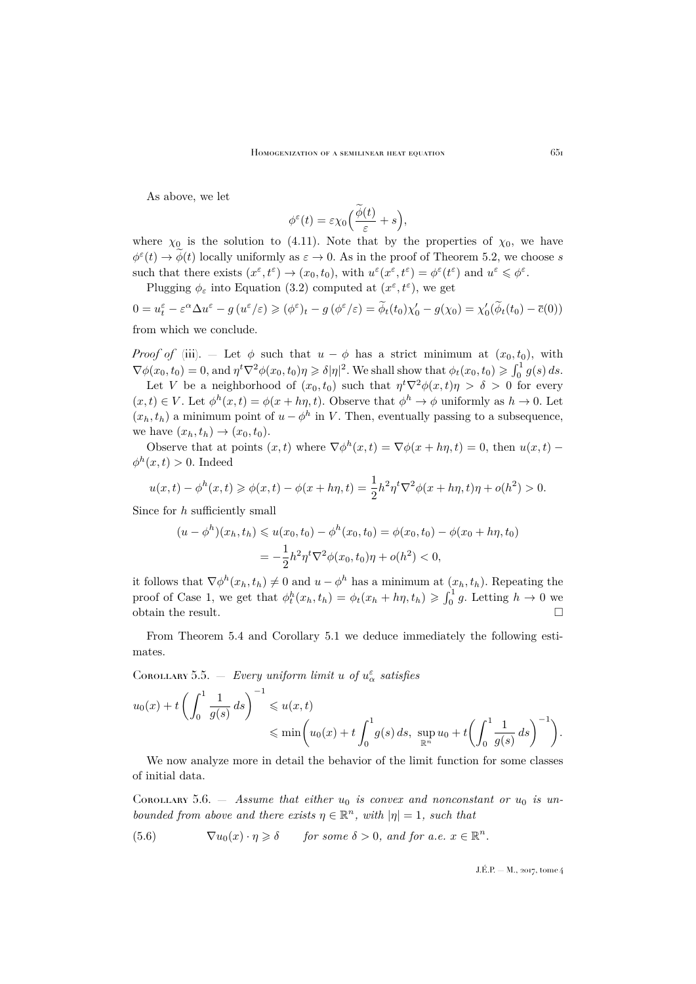As above, we let

$$
\phi^{\varepsilon}(t) = \varepsilon \chi_0 \Big( \frac{\widetilde{\phi}(t)}{\varepsilon} + s \Big),
$$

where  $\chi_0$  is the solution to [\(4.11\)](#page-9-3). Note that by the properties of  $\chi_0$ , we have  $\phi^{\varepsilon}(t) \to \phi(t)$  locally uniformly as  $\varepsilon \to 0$ . As in the proof of Theorem [5.2,](#page-14-1) we choose s such that there exists  $(x^{\varepsilon}, t^{\varepsilon}) \to (x_0, t_0)$ , with  $u^{\varepsilon}(x^{\varepsilon}, t^{\varepsilon}) = \phi^{\varepsilon}(t^{\varepsilon})$  and  $u^{\varepsilon} \leq \phi^{\varepsilon}$ .

Plugging  $\phi_{\varepsilon}$  into Equation [\(3.2\)](#page-6-3) computed at  $(x^{\varepsilon}, t^{\varepsilon})$ , we get

 $0 = u_t^{\varepsilon} - \varepsilon^{\alpha} \Delta u^{\varepsilon} - g(u^{\varepsilon}/\varepsilon) \geq (\phi^{\varepsilon})_t - g(\phi^{\varepsilon}/\varepsilon) = \widetilde{\phi}_t(t_0)\chi'_0 - g(\chi_0) = \chi'_0(\widetilde{\phi}_t(t_0) - \overline{c}(0))$ from which we conclude.

*Proof of* (iii). — Let  $\phi$  such that  $u - \phi$  has a strict minimum at  $(x_0, t_0)$ , with  $\nabla \phi(x_0, t_0) = 0$ , and  $\eta^t \nabla^2 \phi(x_0, t_0) \eta \geq \delta |\eta|^2$ . We shall show that  $\phi_t(x_0, t_0) \geq \int_0^1 g(s) ds$ .

Let V be a neighborhood of  $(x_0, t_0)$  such that  $\eta^t \nabla^2 \phi(x, t) \eta > \delta > 0$  for every  $(x,t) \in V$ . Let  $\phi^h(x,t) = \phi(x + h\eta, t)$ . Observe that  $\phi^h \to \phi$  uniformly as  $h \to 0$ . Let  $(x_h, t_h)$  a minimum point of  $u - \phi^h$  in V. Then, eventually passing to a subsequence, we have  $(x_h, t_h) \rightarrow (x_0, t_0)$ .

Observe that at points  $(x, t)$  where  $\nabla \phi^h(x, t) = \nabla \phi(x + h\eta, t) = 0$ , then  $u(x, t)$  $\phi^h(x,t) > 0$ . Indeed

$$
u(x,t) - \phi^h(x,t) \ge \phi(x,t) - \phi(x+h\eta,t) = \frac{1}{2}h^2\eta^t \nabla^2 \phi(x+h\eta,t)\eta + o(h^2) > 0.
$$

Since for h sufficiently small

$$
(u - \phi^h)(x_h, t_h) \leq u(x_0, t_0) - \phi^h(x_0, t_0) = \phi(x_0, t_0) - \phi(x_0 + h\eta, t_0)
$$
  
=  $-\frac{1}{2}h^2\eta^t\nabla^2\phi(x_0, t_0)\eta + o(h^2) < 0,$ 

it follows that  $\nabla \phi^h(x_h, t_h) \neq 0$  and  $u - \phi^h$  has a minimum at  $(x_h, t_h)$ . Repeating the proof of Case 1, we get that  $\phi_t^h(x_h, t_h) = \phi_t(x_h + h\eta, t_h) \geq \int_0^1 g$ . Letting  $h \to 0$  we obtain the result.  $\Box$ 

From Theorem [5.4](#page-16-0) and Corollary [5.1](#page-13-1) we deduce immediately the following estimates.

<span id="page-19-1"></span>COROLLARY 5.5.  $-$  *Every uniform limit u of*  $u^{\varepsilon}_{\alpha}$  *satisfies* 

$$
u_0(x) + t \left( \int_0^1 \frac{1}{g(s)} ds \right)^{-1} \leq u(x, t) \leq \min \left( u_0(x) + t \int_0^1 g(s) ds, \sup_{\mathbb{R}^n} u_0 + t \left( \int_0^1 \frac{1}{g(s)} ds \right)^{-1} \right).
$$

We now analyze more in detail the behavior of the limit function for some classes of initial data.

<span id="page-19-2"></span>COROLLARY 5.6.  $-$  *Assume that either*  $u_0$  *is convex and nonconstant or*  $u_0$  *is unbounded from above and there exists*  $\eta \in \mathbb{R}^n$ *, with*  $|\eta| = 1$ *, such that* 

<span id="page-19-0"></span>(5.6) 
$$
\nabla u_0(x) \cdot \eta \geq \delta \quad \text{for some } \delta > 0, \text{ and for a.e. } x \in \mathbb{R}^n.
$$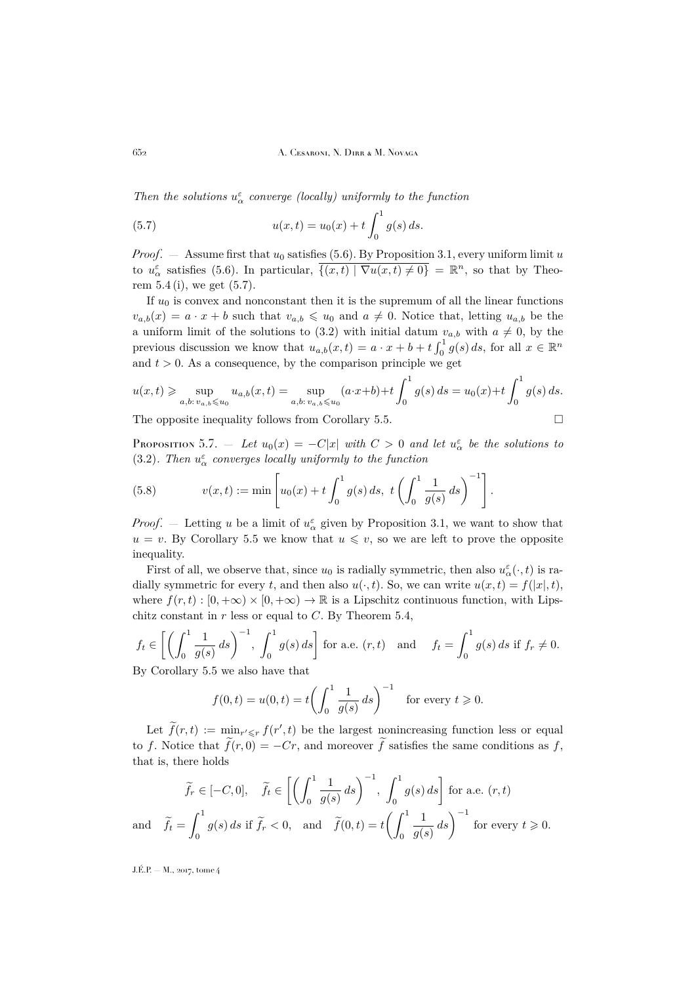*Then the solutions*  $u^{\varepsilon}_{\alpha}$  *converge (locally) uniformly to the function* 

<span id="page-20-0"></span>(5.7) 
$$
u(x,t) = u_0(x) + t \int_0^1 g(s) ds.
$$

*Proof.* — Assume first that  $u_0$  satisfies [\(5.6\)](#page-19-0). By Proposition [3.1,](#page-6-7) every uniform limit u to  $u_{\alpha}^{\varepsilon}$  satisfies [\(5.6\)](#page-19-0). In particular,  $\overline{\{(x,t) | \nabla u(x,t) \neq 0\}} = \mathbb{R}^n$ , so that by Theorem  $5.4$  (i), we get  $(5.7)$ .

If  $u_0$  is convex and nonconstant then it is the supremum of all the linear functions  $v_{a,b}(x) = a \cdot x + b$  such that  $v_{a,b} \leq u_0$  and  $a \neq 0$ . Notice that, letting  $u_{a,b}$  be the a uniform limit of the solutions to [\(3.2\)](#page-6-3) with initial datum  $v_{a,b}$  with  $a \neq 0$ , by the previous discussion we know that  $u_{a,b}(x,t) = a \cdot x + b + t \int_0^1 g(s) ds$ , for all  $x \in \mathbb{R}^n$ and  $t > 0$ . As a consequence, by the comparison principle we get

$$
u(x,t) \geqslant \sup_{a,b:\,v_{a,b}\leqslant u_0} u_{a,b}(x,t) = \sup_{a,b:\,v_{a,b}\leqslant u_0} (a\cdot x+b) + t \int_0^1 g(s) \, ds = u_0(x) + t \int_0^1 g(s) \, ds.
$$

The opposite inequality follows from Corollary [5.5.](#page-19-1)

<span id="page-20-1"></span>PROPOSITION 5.7. — Let  $u_0(x) = -C|x|$  with  $C > 0$  and let  $u_\alpha^{\varepsilon}$  be the solutions to [\(3.2\)](#page-6-3). Then  $u^{\varepsilon}_{\alpha}$  converges locally uniformly to the function

(5.8) 
$$
v(x,t) := \min \left[ u_0(x) + t \int_0^1 g(s) \, ds, \ t \left( \int_0^1 \frac{1}{g(s)} \, ds \right)^{-1} \right].
$$

*Proof.* – Letting u be a limit of  $u^{\varepsilon}_{\alpha}$  given by Proposition [3.1,](#page-6-7) we want to show that  $u = v$ . By Corollary [5.5](#page-19-1) we know that  $u \leq v$ , so we are left to prove the opposite inequality.

First of all, we observe that, since  $u_0$  is radially symmetric, then also  $u_\alpha^\varepsilon(\cdot,t)$  is radially symmetric for every t, and then also  $u(\cdot, t)$ . So, we can write  $u(x, t) = f(|x|, t)$ , where  $f(r, t) : [0, +\infty) \times [0, +\infty) \to \mathbb{R}$  is a Lipschitz continuous function, with Lipschitz constant in  $r$  less or equal to  $C$ . By Theorem [5.4,](#page-16-0)

$$
f_t \in \left[ \left( \int_0^1 \frac{1}{g(s)} ds \right)^{-1}, \int_0^1 g(s) ds \right] \text{ for a.e. } (r, t) \text{ and } f_t = \int_0^1 g(s) ds \text{ if } f_r \neq 0.
$$
  
By Corollary 5.5 we also have that

By Corollary [5.5](#page-19-1) we also have that

$$
f(0, t) = u(0, t) = t \left( \int_0^1 \frac{1}{g(s)} ds \right)^{-1}
$$
 for every  $t \ge 0$ .

Let  $\tilde{f}(r,t) := \min_{\substack{r' \leq r}} f(r',t)$  be the largest nonincreasing function less or equal to f. Notice that  $\tilde{f}(r, 0) = -Cr$ , and moreover  $\tilde{f}$  satisfies the same conditions as f, that is, there holds

$$
\widetilde{f}_r \in [-C, 0], \quad \widetilde{f}_t \in \left[ \left( \int_0^1 \frac{1}{g(s)} ds \right)^{-1}, \int_0^1 g(s) ds \right] \text{ for a.e. } (r, t)
$$
\n
$$
\text{and} \quad \widetilde{f}_t = \int_0^1 g(s) ds \text{ if } \widetilde{f}_r < 0, \text{ and } \widetilde{f}(0, t) = t \left( \int_0^1 \frac{1}{g(s)} ds \right)^{-1} \text{ for every } t \ge 0.
$$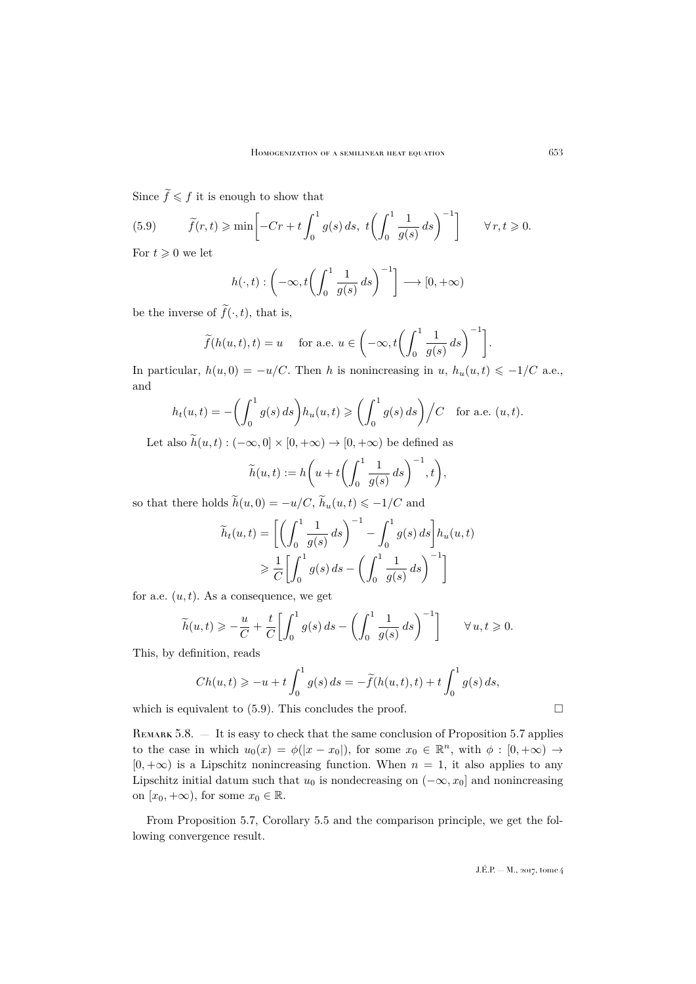Since  $\widetilde{f} \leqslant f$  it is enough to show that

<span id="page-21-0"></span>(5.9) 
$$
\widetilde{f}(r,t) \ge \min\left[-Cr + t\int_0^1 g(s) \, ds, \ t\left(\int_0^1 \frac{1}{g(s)} \, ds\right)^{-1}\right] \qquad \forall \, r, t \ge 0.
$$

For  $t \geqslant 0$  we let

$$
h(\cdot, t) : \left(-\infty, t\left(\int_0^1 \frac{1}{g(s)} ds\right)^{-1}\right] \longrightarrow [0, +\infty)
$$

be the inverse of  $\tilde{f}(\cdot, t)$ , that is,

$$
\widetilde{f}(h(u,t),t) = u \quad \text{ for a.e. } u \in \left(-\infty, t\left(\int_0^1 \frac{1}{g(s)} ds\right)^{-1}\right].
$$

In particular,  $h(u, 0) = -u/C$ . Then h is nonincreasing in u,  $h_u(u, t) \le -1/C$  a.e., and

$$
h_t(u,t) = -\left(\int_0^1 g(s) \, ds\right) h_u(u,t) \geqslant \left(\int_0^1 g(s) \, ds\right) \Big/ C \quad \text{for a.e. } (u,t).
$$

Let also  $\tilde{h}(u, t) : (-\infty, 0] \times [0, +\infty) \to [0, +\infty)$  be defined as

$$
\widetilde{h}(u,t) := h\bigg(u+t\bigg(\int_0^1 \frac{1}{g(s)} ds\bigg)^{-1}, t\bigg),\,
$$

so that there holds  $\widetilde{h}(u, 0) = -u/C$ ,  $\widetilde{h}_u(u, t) \le -1/C$  and

$$
\widetilde{h}_t(u,t) = \left[ \left( \int_0^1 \frac{1}{g(s)} ds \right)^{-1} - \int_0^1 g(s) ds \right] h_u(u,t)
$$

$$
\geq \frac{1}{C} \left[ \int_0^1 g(s) ds - \left( \int_0^1 \frac{1}{g(s)} ds \right)^{-1} \right]
$$

for a.e.  $(u, t)$ . As a consequence, we get

$$
\widetilde{h}(u,t) \geqslant -\frac{u}{C} + \frac{t}{C} \left[ \int_0^1 g(s) \, ds - \left( \int_0^1 \frac{1}{g(s)} \, ds \right)^{-1} \right] \qquad \forall \, u, t \geqslant 0.
$$

This, by definition, reads

$$
Ch(u,t) \ge -u+t \int_0^1 g(s) \, ds = -\widetilde{f}(h(u,t),t) + t \int_0^1 g(s) \, ds,
$$

which is equivalent to  $(5.9)$ . This concludes the proof.

<span id="page-21-1"></span>REMARK 5.8.  $-$  It is easy to check that the same conclusion of Proposition [5.7](#page-20-1) applies to the case in which  $u_0(x) = \phi(|x-x_0|)$ , for some  $x_0 \in \mathbb{R}^n$ , with  $\phi : [0, +\infty) \to$  $[0, +\infty)$  is a Lipschitz nonincreasing function. When  $n = 1$ , it also applies to any Lipschitz initial datum such that  $u_0$  is nondecreasing on  $(-\infty, x_0]$  and nonincreasing on  $[x_0, +\infty)$ , for some  $x_0 \in \mathbb{R}$ .

From Proposition [5.7,](#page-20-1) Corollary [5.5](#page-19-1) and the comparison principle, we get the following convergence result.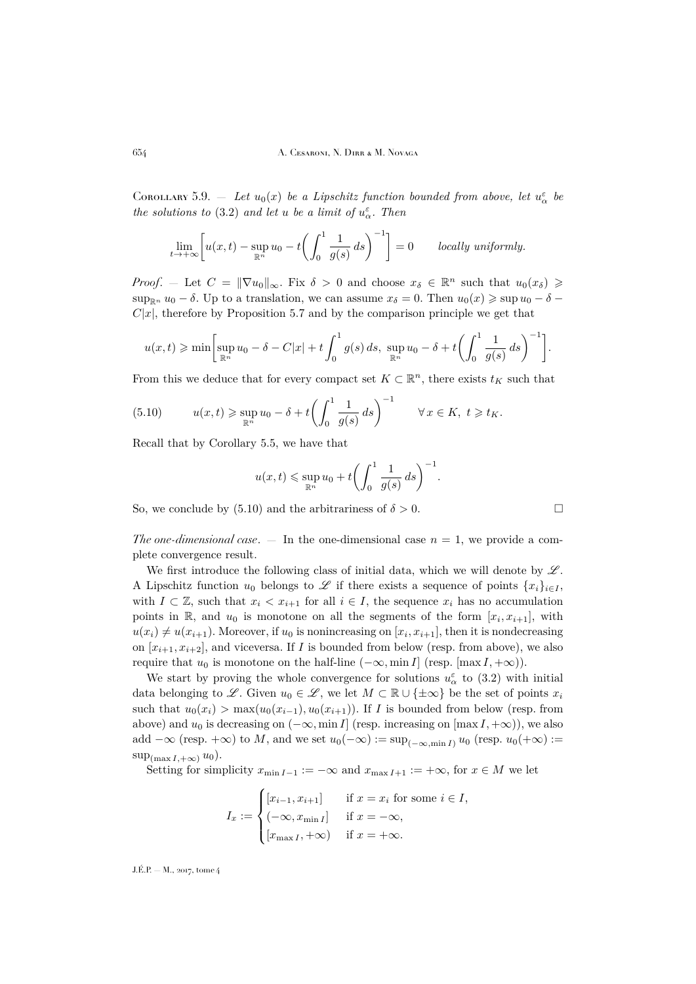COROLLARY 5.9. – Let  $u_0(x)$  be a Lipschitz function bounded from above, let  $u_\alpha^{\varepsilon}$  be *the solutions to* [\(3.2\)](#page-6-3) *and let u be a limit of*  $u^{\varepsilon}_{\alpha}$ *. Then* 

$$
\lim_{t \to +\infty} \left[ u(x,t) - \sup_{\mathbb{R}^n} u_0 - t \left( \int_0^1 \frac{1}{g(s)} ds \right)^{-1} \right] = 0 \quad \text{locally uniformly.}
$$

*Proof.* – Let  $C = ||\nabla u_0||_{\infty}$ . Fix  $\delta > 0$  and choose  $x_{\delta} \in \mathbb{R}^n$  such that  $u_0(x_{\delta}) \geq$  $\sup_{\mathbb{R}^n} u_0 - \delta$ . Up to a translation, we can assume  $x_\delta = 0$ . Then  $u_0(x) \geq \sup u_0 - \delta$  $C|x|$ , therefore by Proposition [5.7](#page-20-1) and by the comparison principle we get that

$$
u(x,t) \geq \min \biggl[ \sup_{\mathbb{R}^n} u_0 - \delta - C|x| + t \int_0^1 g(s) \, ds, \, \sup_{\mathbb{R}^n} u_0 - \delta + t \biggl( \int_0^1 \frac{1}{g(s)} \, ds \biggr)^{-1} \biggr].
$$

From this we deduce that for every compact set  $K \subset \mathbb{R}^n$ , there exists  $t_K$  such that

<span id="page-22-0"></span>(5.10) 
$$
u(x,t) \geq \sup_{\mathbb{R}^n} u_0 - \delta + t \left( \int_0^1 \frac{1}{g(s)} ds \right)^{-1} \quad \forall x \in K, \ t \geq t_K.
$$

Recall that by Corollary [5.5,](#page-19-1) we have that

$$
u(x,t) \leqslant \sup_{\mathbb{R}^n} u_0 + t \left( \int_0^1 \frac{1}{g(s)} ds \right)^{-1}
$$

.

So, we conclude by [\(5.10\)](#page-22-0) and the arbitrariness of  $\delta > 0$ .

*The one-dimensional case.*  $-$  In the one-dimensional case  $n = 1$ , we provide a complete convergence result.

We first introduce the following class of initial data, which we will denote by  $\mathscr{L}$ . A Lipschitz function  $u_0$  belongs to  $\mathscr L$  if there exists a sequence of points  $\{x_i\}_{i\in I}$ , with  $I \subset \mathbb{Z}$ , such that  $x_i < x_{i+1}$  for all  $i \in I$ , the sequence  $x_i$  has no accumulation points in  $\mathbb{R}$ , and  $u_0$  is monotone on all the segments of the form  $[x_i, x_{i+1}]$ , with  $u(x_i) \neq u(x_{i+1})$ . Moreover, if  $u_0$  is nonincreasing on  $[x_i, x_{i+1}]$ , then it is nondecreasing on  $[x_{i+1}, x_{i+2}]$ , and viceversa. If I is bounded from below (resp. from above), we also require that  $u_0$  is monotone on the half-line  $(-\infty, \min I]$  (resp.  $[\max I, +\infty)$ ).

We start by proving the whole convergence for solutions  $u^{\varepsilon}_{\alpha}$  to [\(3.2\)](#page-6-3) with initial data belonging to L. Given  $u_0 \in \mathcal{L}$ , we let  $M \subset \mathbb{R} \cup \{\pm \infty\}$  be the set of points  $x_i$ such that  $u_0(x_i) > \max(u_0(x_{i-1}), u_0(x_{i+1}))$ . If I is bounded from below (resp. from above) and  $u_0$  is decreasing on  $(-\infty, \min I]$  (resp. increasing on  $[\max I, +\infty)$ ), we also add  $-\infty$  (resp. + $\infty$ ) to M, and we set  $u_0(-\infty) := \sup_{(-\infty, \min I)} u_0$  (resp.  $u_0(+\infty) :=$  $\sup_{(\max I,+\infty)} u_0$ .

Setting for simplicity  $x_{\min I-1} := -\infty$  and  $x_{\max I+1} := +\infty$ , for  $x \in M$  we let

$$
I_x := \begin{cases} [x_{i-1}, x_{i+1}] & \text{if } x = x_i \text{ for some } i \in I, \\ (-\infty, x_{\min I}] & \text{if } x = -\infty, \\ [x_{\max I}, +\infty) & \text{if } x = +\infty. \end{cases}
$$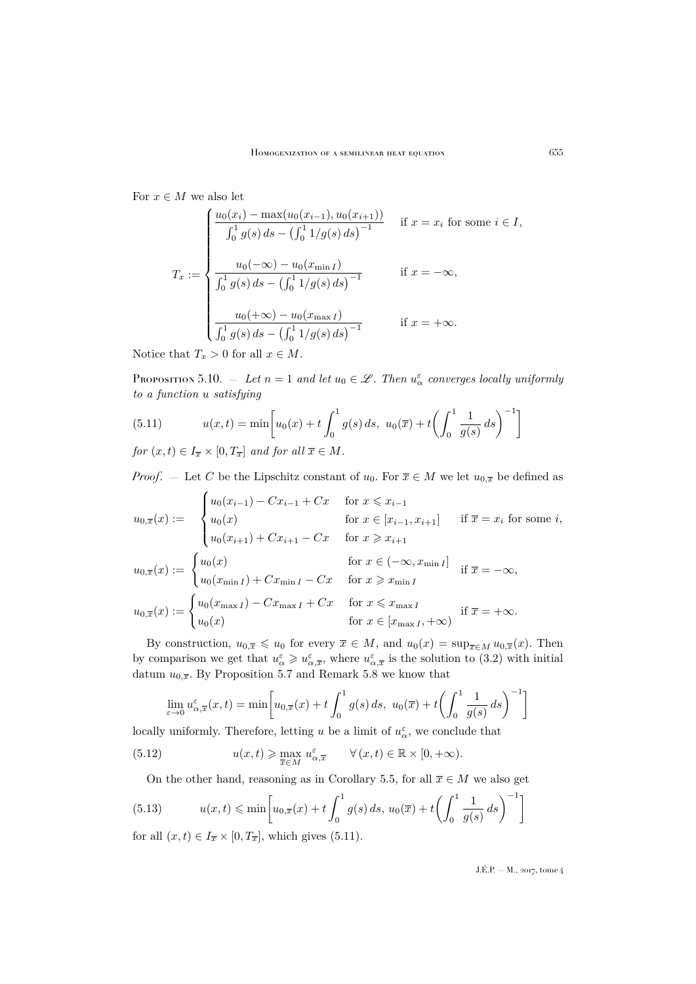For  $x \in M$  we also let

$$
T_x := \begin{cases} \frac{u_0(x_i) - \max(u_0(x_{i-1}), u_0(x_{i+1}))}{\int_0^1 g(s) ds - (\int_0^1 1/g(s) ds)^{-1}} & \text{if } x = x_i \text{ for some } i \in I, \\ \frac{u_0(-\infty) - u_0(x_{\min I})}{\int_0^1 g(s) ds - (\int_0^1 1/g(s) ds)^{-1}} & \text{if } x = -\infty, \\ \frac{u_0(+\infty) - u_0(x_{\max I})}{\int_0^1 g(s) ds - (\int_0^1 1/g(s) ds)^{-1}} & \text{if } x = +\infty. \end{cases}
$$

Notice that  $T_x > 0$  for all  $x \in M$ .

<span id="page-23-2"></span>PROPOSITION 5.10.  $-$  *Let*  $n = 1$  *and let*  $u_0 \in \mathscr{L}$ *. Then*  $u_{\alpha}^{\varepsilon}$  *converges locally uniformly to a function* u *satisfying*

<span id="page-23-0"></span>(5.11) 
$$
u(x,t) = \min\left[u_0(x) + t \int_0^1 g(s) ds, u_0(\overline{x}) + t \left(\int_0^1 \frac{1}{g(s)} ds\right)^{-1}\right]
$$
  
for  $(x,t) \in I_{\overline{x}} \times [0, T_{\overline{x}}]$  and for all  $\overline{x} \in M$ .

*Proof.* – Let C be the Lipschitz constant of  $u_0$ . For  $\overline{x} \in M$  we let  $u_{0,\overline{x}}$  be defined as

$$
u_{0,\overline{x}}(x) := \begin{cases} u_0(x_{i-1}) - Cx_{i-1} + Cx & \text{for } x \leq x_{i-1} \\ u_0(x) & \text{for } x \in [x_{i-1}, x_{i+1}] \\ u_0(x_{i+1}) + Cx_{i+1} - Cx & \text{for } x \geq x_{i+1} \end{cases} \text{ if } \overline{x} = x_i \text{ for some } i,
$$
  

$$
u_{0,\overline{x}}(x) := \begin{cases} u_0(x) & \text{for } x \in (-\infty, x_{\text{min } I}] \\ u_0(x_{\text{min } I}) + Cx_{\text{min } I} - Cx & \text{for } x \geq x_{\text{min } I} \\ u_{0,\overline{x}}(x) := \begin{cases} u_0(x_{\text{max } I}) - Cx_{\text{max } I} + Cx & \text{for } x \leq x_{\text{max } I} \\ u_0(x) & \text{for } x \in [x_{\text{max } I}, +\infty) \end{cases} \text{ if } \overline{x} = +\infty. \end{cases}
$$

By construction,  $u_{0,\overline{x}} \leq u_0$  for every  $\overline{x} \in M$ , and  $u_0(x) = \sup_{\overline{x} \in M} u_{0,\overline{x}}(x)$ . Then by comparison we get that  $u_{\alpha}^{\varepsilon} \geq u_{\alpha,\overline{x}}^{\varepsilon}$ , where  $u_{\alpha,\overline{x}}^{\varepsilon}$  is the solution to [\(3.2\)](#page-6-3) with initial datum  $u_{0,\overline{x}}$ . By Proposition [5.7](#page-20-1) and Remark [5.8](#page-21-1) we know that

$$
\lim_{\varepsilon \to 0} u_{\alpha, \overline{x}}^{\varepsilon}(x, t) = \min \left[ u_{0, \overline{x}}(x) + t \int_0^1 g(s) ds, u_0(\overline{x}) + t \left( \int_0^1 \frac{1}{g(s)} ds \right)^{-1} \right]
$$

locally uniformly. Therefore, letting u be a limit of  $u^{\varepsilon}_{\alpha}$ , we conclude that

(5.12)  $u(x,t) \ge \max_{\overline{x} \in M} u_{\alpha,\overline{x}}^{\varepsilon} \quad \forall (x,t) \in \mathbb{R} \times [0,+\infty).$ 

<span id="page-23-1"></span>On the other hand, reasoning as in Corollary [5.5,](#page-19-1) for all  $\overline{x} \in M$  we also get

(5.13) 
$$
u(x,t) \le \min\left[u_{0,\overline{x}}(x) + t\int_0^1 g(s) ds, u_0(\overline{x}) + t\left(\int_0^1 \frac{1}{g(s)} ds\right)^{-1}\right]
$$
for all  $(x, t) \in I$ ,  $\times$  [0, T] which gives (5.11).

for all  $(x, t) \in I_{\overline{x}} \times [0, T_{\overline{x}}],$  which gives  $(5.11).$  $(5.11).$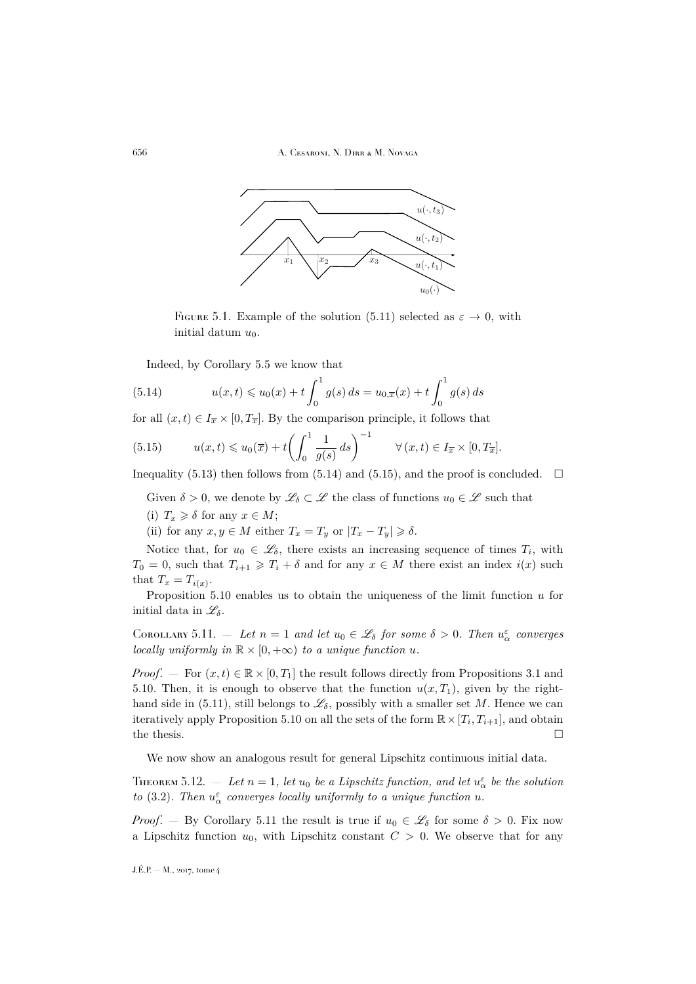656 A. Cesaroni, N. Dirr & M. Novaga



FIGURE 5.1. Example of the solution [\(5.11\)](#page-23-0) selected as  $\varepsilon \to 0$ , with initial datum  $u_0$ .

<span id="page-24-1"></span>Indeed, by Corollary [5.5](#page-19-1) we know that

(5.14) 
$$
u(x,t) \leq u_0(x) + t \int_0^1 g(s) ds = u_{0,\overline{x}}(x) + t \int_0^1 g(s) ds
$$

for all  $(x, t) \in I_{\overline{x}} \times [0, T_{\overline{x}}]$ . By the comparison principle, it follows that

<span id="page-24-2"></span>(5.15) 
$$
u(x,t) \leq u_0(\overline{x}) + t \left( \int_0^1 \frac{1}{g(s)} ds \right)^{-1} \quad \forall (x,t) \in I_{\overline{x}} \times [0, T_{\overline{x}}].
$$

Inequality [\(5.13\)](#page-23-1) then follows from [\(5.14\)](#page-24-1) and [\(5.15\)](#page-24-2), and the proof is concluded.  $\square$ 

Given  $\delta > 0$ , we denote by  $\mathscr{L}_{\delta} \subset \mathscr{L}$  the class of functions  $u_0 \in \mathscr{L}$  such that

(i)  $T_x \geq \delta$  for any  $x \in M$ ;

(ii) for any  $x, y \in M$  either  $T_x = T_y$  or  $|T_x - T_y| \ge \delta$ .

Notice that, for  $u_0 \in \mathscr{L}_{\delta}$ , there exists an increasing sequence of times  $T_i$ , with  $T_0 = 0$ , such that  $T_{i+1} \geq T_i + \delta$  and for any  $x \in M$  there exist an index  $i(x)$  such that  $T_x = T_{i(x)}$ .

Proposition [5.10](#page-23-2) enables us to obtain the uniqueness of the limit function  $u$  for initial data in  $\mathscr{L}_{\delta}$ .

<span id="page-24-3"></span>COROLLARY 5.11.  $\cdots$  Let  $n = 1$  and let  $u_0 \in \mathscr{L}_{\delta}$  for some  $\delta > 0$ . Then  $u_{\alpha}^{\varepsilon}$  converges *locally uniformly in*  $\mathbb{R} \times [0, +\infty)$  *to a unique function u.* 

*Proof.* — For  $(x, t) \in \mathbb{R} \times [0, T_1]$  the result follows directly from Propositions [3.1](#page-6-7) and [5.10.](#page-23-2) Then, it is enough to observe that the function  $u(x, T_1)$ , given by the right-hand side in [\(5.11\)](#page-23-0), still belongs to  $\mathscr{L}_{\delta}$ , possibly with a smaller set M. Hence we can iteratively apply Proposition [5.10](#page-23-2) on all the sets of the form  $\mathbb{R} \times [T_i, T_{i+1}]$ , and obtain the thesis.  $\Box$ 

We now show an analogous result for general Lipschitz continuous initial data.

<span id="page-24-0"></span>THEOREM 5.12.  $\bar{a} = \bar{b}$  Let  $n = 1$ , let  $u_0$  be a Lipschitz function, and let  $u_{\alpha}^{\varepsilon}$  be the solution *to* [\(3.2\)](#page-6-3). Then  $u^{\varepsilon}_{\alpha}$  converges locally uniformly to a unique function u.

*Proof.* — By Corollary [5.11](#page-24-3) the result is true if  $u_0 \in \mathscr{L}_{\delta}$  for some  $\delta > 0$ . Fix now a Lipschitz function  $u_0$ , with Lipschitz constant  $C > 0$ . We observe that for any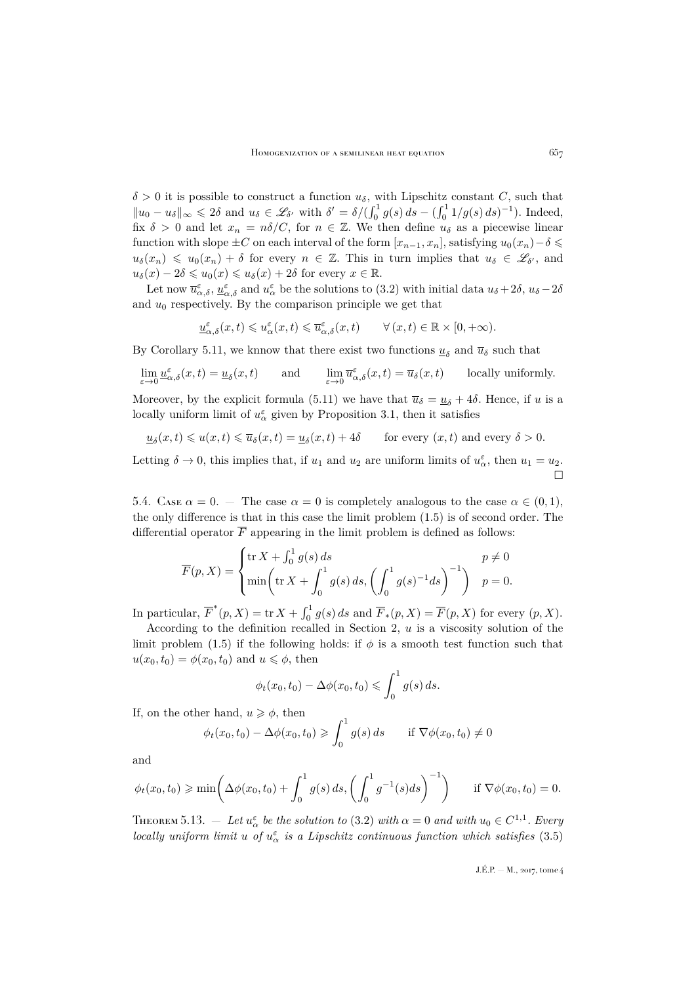$\delta > 0$  it is possible to construct a function  $u_{\delta}$ , with Lipschitz constant C, such that  $||u_0 - u_\delta||_\infty \leq 2\delta$  and  $u_\delta \in \mathscr{L}_{\delta'}$  with  $\delta' = \delta/(\int_0^1 g(s) ds - (\int_0^1 1/g(s) ds)^{-1})$ . Indeed, fix  $\delta > 0$  and let  $x_n = n\delta/C$ , for  $n \in \mathbb{Z}$ . We then define  $u_{\delta}$  as a piecewise linear function with slope  $\pm C$  on each interval of the form  $[x_{n-1}, x_n]$ , satisfying  $u_0(x_n)-\delta \leq$  $u_{\delta}(x_n) \leq u_0(x_n) + \delta$  for every  $n \in \mathbb{Z}$ . This in turn implies that  $u_{\delta} \in \mathscr{L}_{\delta'}$ , and  $u_{\delta}(x) - 2\delta \leq u_0(x) \leq u_{\delta}(x) + 2\delta$  for every  $x \in \mathbb{R}$ .

Let now  $\overline{u}_{\alpha,\delta}^{\varepsilon}$ ,  $\underline{u}_{\alpha,\delta}^{\varepsilon}$  and  $u_{\alpha}^{\varepsilon}$  be the solutions to [\(3.2\)](#page-6-3) with initial data  $u_{\delta}+2\delta$ ,  $u_{\delta}-2\delta$ and  $u_0$  respectively. By the comparison principle we get that

$$
\underline{u}_{\alpha,\delta}^{\varepsilon}(x,t) \leqslant u_{\alpha}^{\varepsilon}(x,t) \leqslant \overline{u}_{\alpha,\delta}^{\varepsilon}(x,t) \qquad \forall (x,t) \in \mathbb{R} \times [0,+\infty).
$$

By Corollary [5.11,](#page-24-3) we knnow that there exist two functions  $\underline{u}_{\delta}$  and  $\overline{u}_{\delta}$  such that

$$
\lim_{\varepsilon \to 0} \underline{u}_{\alpha,\delta}^{\varepsilon}(x,t) = \underline{u}_{\delta}(x,t) \quad \text{and} \quad \lim_{\varepsilon \to 0} \overline{u}_{\alpha,\delta}^{\varepsilon}(x,t) = \overline{u}_{\delta}(x,t) \quad \text{locally uniformly.}
$$

Moreover, by the explicit formula [\(5.11\)](#page-23-0) we have that  $\overline{u}_{\delta} = \underline{u}_{\delta} + 4\delta$ . Hence, if u is a locally uniform limit of  $u^{\varepsilon}_{\alpha}$  given by Proposition [3.1,](#page-6-7) then it satisfies

$$
\underline{u}_\delta(x,t)\leqslant u(x,t)\leqslant \overline{u}_\delta(x,t)=\underline{u}_\delta(x,t)+4\delta\qquad\text{for every }(x,t)\text{ and every }\delta>0.
$$

Letting  $\delta \to 0$ , this implies that, if  $u_1$  and  $u_2$  are uniform limits of  $u_{\alpha}^{\varepsilon}$ , then  $u_1 = u_2$ .  $\Box$ 

5.4. Case  $\alpha = 0$ . — The case  $\alpha = 0$  is completely analogous to the case  $\alpha \in (0,1)$ , the only difference is that in this case the limit problem [\(1.5\)](#page-3-0) is of second order. The differential operator  $\overline{F}$  appearing in the limit problem is defined as follows:

$$
\overline{F}(p, X) = \begin{cases} \text{tr}\, X + \int_0^1 g(s) \, ds & p \neq 0 \\ \min \left( \text{tr}\, X + \int_0^1 g(s) \, ds, \left( \int_0^1 g(s)^{-1} \, ds \right)^{-1} \right) & p = 0. \end{cases}
$$

In particular,  $\overline{F}^*(p, X) = \text{tr } X + \int_0^1 g(s) ds$  and  $\overline{F}_*(p, X) = \overline{F}(p, X)$  for every  $(p, X)$ .

According to the definition recalled in Section [2,](#page-5-0)  $u$  is a viscosity solution of the limit problem [\(1.5\)](#page-3-0) if the following holds: if  $\phi$  is a smooth test function such that  $u(x_0, t_0) = \phi(x_0, t_0)$  and  $u \leq \phi$ , then

$$
\phi_t(x_0, t_0) - \Delta \phi(x_0, t_0) \leqslant \int_0^1 g(s) \, ds.
$$

If, on the other hand,  $u \geq \phi$ , then

$$
\phi_t(x_0, t_0) - \Delta \phi(x_0, t_0) \geqslant \int_0^1 g(s) \, ds \qquad \text{if } \nabla \phi(x_0, t_0) \neq 0
$$

and

$$
\phi_t(x_0, t_0) \ge \min\left(\Delta\phi(x_0, t_0) + \int_0^1 g(s) \, ds, \left(\int_0^1 g^{-1}(s) \, ds\right)^{-1}\right) \quad \text{if } \nabla\phi(x_0, t_0) = 0.
$$

THEOREM 5.13.  $-$  Let  $u^{\varepsilon}_{\alpha}$  be the solution to [\(3.2\)](#page-6-3) with  $\alpha = 0$  and with  $u_0 \in C^{1,1}$ . Every *locally uniform limit u of*  $u^{\varepsilon}_{\alpha}$  *is a Lipschitz continuous function which satisfies* [\(3.5\)](#page-6-5)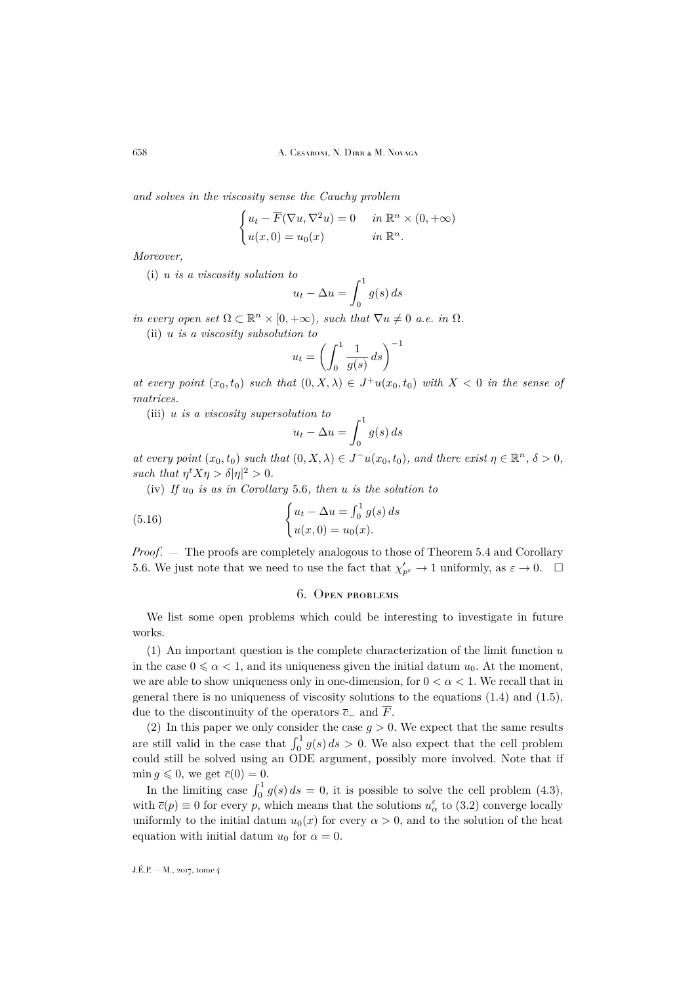*and solves in the viscosity sense the Cauchy problem*

$$
\begin{cases} u_t - \overline{F}(\nabla u, \nabla^2 u) = 0 & \text{in } \mathbb{R}^n \times (0, +\infty) \\ u(x, 0) = u_0(x) & \text{in } \mathbb{R}^n. \end{cases}
$$

*Moreover,*

(i) u *is a viscosity solution to*

$$
u_t - \Delta u = \int_0^1 g(s) \, ds
$$

*in every open set*  $\Omega \subset \mathbb{R}^n \times [0, +\infty)$ *, such that*  $\nabla u \neq 0$  *a.e. in*  $\Omega$ *.* 

(ii) u *is a viscosity subsolution to*

$$
u_t = \left(\int_0^1 \frac{1}{g(s)} ds\right)^{-1}
$$

*at every point*  $(x_0, t_0)$  *such that*  $(0, X, \lambda) \in J^+u(x_0, t_0)$  *with*  $X < 0$  *in the sense of matrices.*

(iii) u *is a viscosity supersolution to*

$$
u_t - \Delta u = \int_0^1 g(s) \, ds
$$

*at every point*  $(x_0, t_0)$  *such that*  $(0, X, \lambda) \in J^{-}u(x_0, t_0)$ *, and there exist*  $\eta \in \mathbb{R}^n$ *,*  $\delta > 0$ *, such that*  $\eta^t X \eta > \delta |\eta|^2 > 0$ *.* 

 $(iv)$  *If*  $u_0$  *is as in Corollary* [5.6](#page-19-2)*, then u is the solution to* 

(5.16) 
$$
\begin{cases} u_t - \Delta u = \int_0^1 g(s) ds \\ u(x, 0) = u_0(x). \end{cases}
$$

*Proof*. — The proofs are completely analogous to those of Theorem [5.4](#page-16-0) and Corollary [5.6.](#page-19-2) We just note that we need to use the fact that  $\chi'_{p^{\varepsilon}} \to 1$  uniformly, as  $\varepsilon \to 0$ .  $\square$ 

#### 6. Open problems

<span id="page-26-0"></span>We list some open problems which could be interesting to investigate in future works.

 $(1)$  An important question is the complete characterization of the limit function u in the case  $0 \le \alpha < 1$ , and its uniqueness given the initial datum  $u_0$ . At the moment, we are able to show uniqueness only in one-dimension, for  $0 < \alpha < 1$ . We recall that in general there is no uniqueness of viscosity solutions to the equations [\(1.4\)](#page-2-3) and [\(1.5\)](#page-3-0), due to the discontinuity of the operators  $\bar{c}_-$  and  $\bar{F}$ .

(2) In this paper we only consider the case  $g > 0$ . We expect that the same results are still valid in the case that  $\int_0^1 g(s) ds > 0$ . We also expect that the cell problem could still be solved using an ODE argument, possibly more involved. Note that if  $\min q \leqslant 0$ , we get  $\overline{c}(0) = 0$ .

In the limiting case  $\int_0^1 g(s) ds = 0$ , it is possible to solve the cell problem [\(4.3\)](#page-8-1), with  $\bar{c}(p) \equiv 0$  for every p, which means that the solutions  $u^{\varepsilon}_{\alpha}$  to  $(3.2)$  converge locally uniformly to the initial datum  $u_0(x)$  for every  $\alpha > 0$ , and to the solution of the heat equation with initial datum  $u_0$  for  $\alpha = 0$ .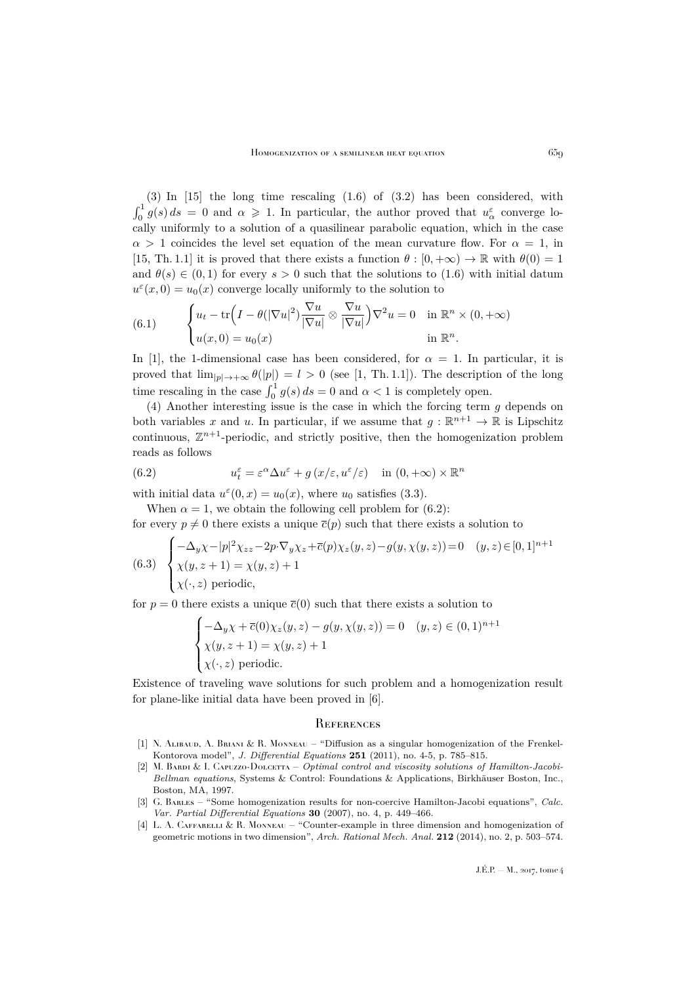(3) In [\[15\]](#page-28-2) the long time rescaling [\(1.6\)](#page-4-1) of [\(3.2\)](#page-6-3) has been considered, with  $\int_0^1 g(s) ds = 0$  and  $\alpha \geq 1$ . In particular, the author proved that  $u_{\alpha}^{\varepsilon}$  converge locally uniformly to a solution of a quasilinear parabolic equation, which in the case  $\alpha > 1$  coincides the level set equation of the mean curvature flow. For  $\alpha = 1$ , in [\[15,](#page-28-2) Th. 1.1] it is proved that there exists a function  $\theta : [0, +\infty) \to \mathbb{R}$  with  $\theta(0) = 1$ and  $\theta(s) \in (0,1)$  for every  $s > 0$  such that the solutions to [\(1.6\)](#page-4-1) with initial datum  $u^{\varepsilon}(x,0) = u_0(x)$  converge locally uniformly to the solution to

<span id="page-27-2"></span>(6.1) 
$$
\begin{cases} u_t - \text{tr}\Big(I - \theta(|\nabla u|^2)\frac{\nabla u}{|\nabla u|} \otimes \frac{\nabla u}{|\nabla u|}\Big) \nabla^2 u = 0 & \text{in } \mathbb{R}^n \times (0, +\infty) \\ u(x, 0) = u_0(x) & \text{in } \mathbb{R}^n. \end{cases}
$$

In [\[1\]](#page-27-1), the 1-dimensional case has been considered, for  $\alpha = 1$ . In particular, it is proved that  $\lim_{|p| \to +\infty} \theta(|p|) = l > 0$  (see [\[1,](#page-27-1) Th. 1.1]). The description of the long time rescaling in the case  $\int_0^1 g(s) ds = 0$  and  $\alpha < 1$  is completely open.

(4) Another interesting issue is the case in which the forcing term  $q$  depends on both variables x and u. In particular, if we assume that  $g : \mathbb{R}^{n+1} \to \mathbb{R}$  is Lipschitz continuous,  $\mathbb{Z}^{n+1}$ -periodic, and strictly positive, then the homogenization problem reads as follows

<span id="page-27-6"></span>(6.2) 
$$
u_t^{\varepsilon} = \varepsilon^{\alpha} \Delta u^{\varepsilon} + g(x/\varepsilon, u^{\varepsilon}/\varepsilon) \quad \text{in } (0, +\infty) \times \mathbb{R}^n
$$

with initial data  $u^{\varepsilon}(0, x) = u_0(x)$ , where  $u_0$  satisfies [\(3.3\)](#page-6-2).

When  $\alpha = 1$ , we obtain the following cell problem for [\(6.2\)](#page-27-6):

for every  $p \neq 0$  there exists a unique  $\overline{c}(p)$  such that there exists a solution to

(6.3) 
$$
\begin{cases}\n-\Delta_y \chi - |p|^2 \chi_{zz} - 2p \cdot \nabla_y \chi_z + \overline{c}(p) \chi_z(y, z) - g(y, \chi(y, z)) = 0 & (y, z) \in [0, 1]^{n+1} \\
\chi(y, z + 1) = \chi(y, z) + 1 \\
\chi(\cdot, z) \text{ periodic,} & \n\end{cases}
$$

for  $p = 0$  there exists a unique  $\bar{c}(0)$  such that there exists a solution to

$$
\begin{cases}\n-\Delta_y \chi + \overline{c}(0)\chi_z(y, z) - g(y, \chi(y, z)) = 0 & (y, z) \in (0, 1)^{n+1} \\
\chi(y, z + 1) = \chi(y, z) + 1 \\
\chi(\cdot, z) \text{ periodic.} & \end{cases}
$$

Existence of traveling wave solutions for such problem and a homogenization result for plane-like initial data have been proved in [\[6\]](#page-28-10).

#### <span id="page-27-0"></span>**REFERENCES**

- <span id="page-27-1"></span>[1] N. Alibaud, A. Briani & R. Monneau – "Diffusion as a singular homogenization of the Frenkel-Kontorova model", *J. Differential Equations* **251** (2011), no. 4-5, p. 785–815.
- <span id="page-27-5"></span>[2] M. BARDI & I. CAPUZZO-DOLCETTA – *Optimal control and viscosity solutions of Hamilton-Jacobi-Bellman equations*, Systems & Control: Foundations & Applications, Birkhäuser Boston, Inc., Boston, MA, 1997.
- <span id="page-27-4"></span>[3] G. Barles – "Some homogenization results for non-coercive Hamilton-Jacobi equations", *Calc. Var. Partial Differential Equations* **30** (2007), no. 4, p. 449–466.
- <span id="page-27-3"></span>[4] L. A. CAFFARELLI & R. MONNEAU – "Counter-example in three dimension and homogenization of geometric motions in two dimension", *Arch. Rational Mech. Anal.* **212** (2014), no. 2, p. 503–574.